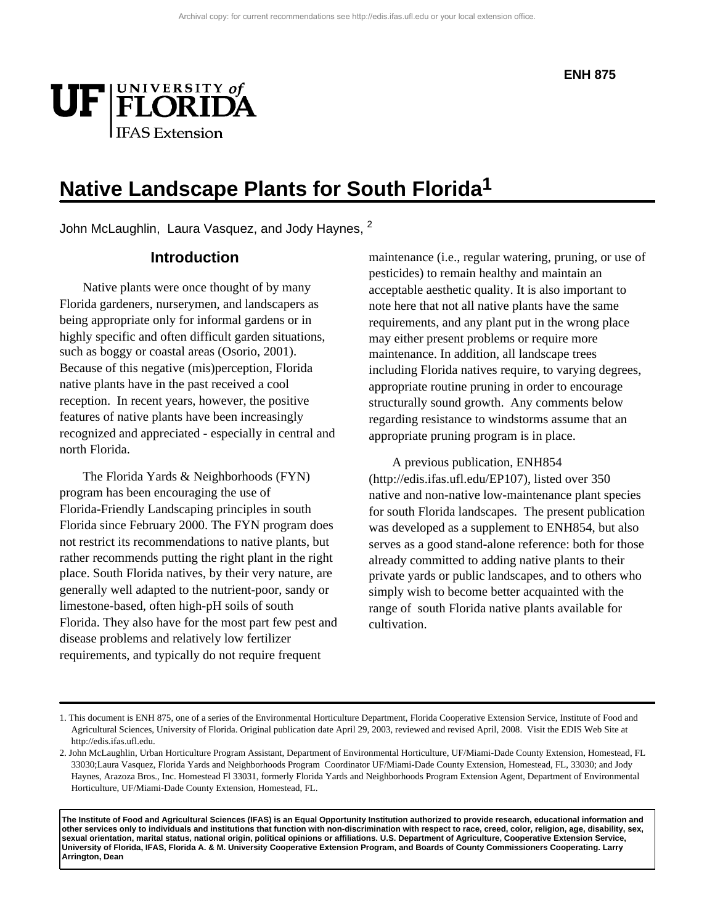

John McLaughlin, Laura Vasquez, and Jody Haynes, <sup>2</sup>

## **Introduction**

Native plants were once thought of by many Florida gardeners, nurserymen, and landscapers as being appropriate only for informal gardens or in highly specific and often difficult garden situations, such as boggy or coastal areas (Osorio, 2001). Because of this negative (mis)perception, Florida native plants have in the past received a cool reception. In recent years, however, the positive features of native plants have been increasingly recognized and appreciated - especially in central and north Florida.

The Florida Yards & Neighborhoods (FYN) program has been encouraging the use of Florida-Friendly Landscaping principles in south Florida since February 2000. The FYN program does not restrict its recommendations to native plants, but rather recommends putting the right plant in the right place. South Florida natives, by their very nature, are generally well adapted to the nutrient-poor, sandy or limestone-based, often high-pH soils of south Florida. They also have for the most part few pest and disease problems and relatively low fertilizer requirements, and typically do not require frequent

maintenance (i.e., regular watering, pruning, or use of pesticides) to remain healthy and maintain an acceptable aesthetic quality. It is also important to note here that not all native plants have the same requirements, and any plant put in the wrong place may either present problems or require more maintenance. In addition, all landscape trees including Florida natives require, to varying degrees, appropriate routine pruning in order to encourage structurally sound growth. Any comments below regarding resistance to windstorms assume that an appropriate pruning program is in place.

A previous publication, ENH854 (http://edis.ifas.ufl.edu/EP107), listed over 350 native and non-native low-maintenance plant species for south Florida landscapes. The present publication was developed as a supplement to ENH854, but also serves as a good stand-alone reference: both for those already committed to adding native plants to their private yards or public landscapes, and to others who simply wish to become better acquainted with the range of south Florida native plants available for cultivation.

**The Institute of Food and Agricultural Sciences (IFAS) is an Equal Opportunity Institution authorized to provide research, educational information and other services only to individuals and institutions that function with non-discrimination with respect to race, creed, color, religion, age, disability, sex, sexual orientation, marital status, national origin, political opinions or affiliations. U.S. Department of Agriculture, Cooperative Extension Service, University of Florida, IFAS, Florida A. & M. University Cooperative Extension Program, and Boards of County Commissioners Cooperating. Larry Arrington, Dean**

<sup>1.</sup> This document is ENH 875, one of a series of the Environmental Horticulture Department, Florida Cooperative Extension Service, Institute of Food and Agricultural Sciences, University of Florida. Original publication date April 29, 2003, reviewed and revised April, 2008. Visit the EDIS Web Site at http://edis.ifas.ufl.edu.

<sup>2.</sup> John McLaughlin, Urban Horticulture Program Assistant, Department of Environmental Horticulture, UF/Miami-Dade County Extension, Homestead, FL 33030;Laura Vasquez, Florida Yards and Neighborhoods Program Coordinator UF/Miami-Dade County Extension, Homestead, FL, 33030; and Jody Haynes, Arazoza Bros., Inc. Homestead Fl 33031, formerly Florida Yards and Neighborhoods Program Extension Agent, Department of Environmental Horticulture, UF/Miami-Dade County Extension, Homestead, FL.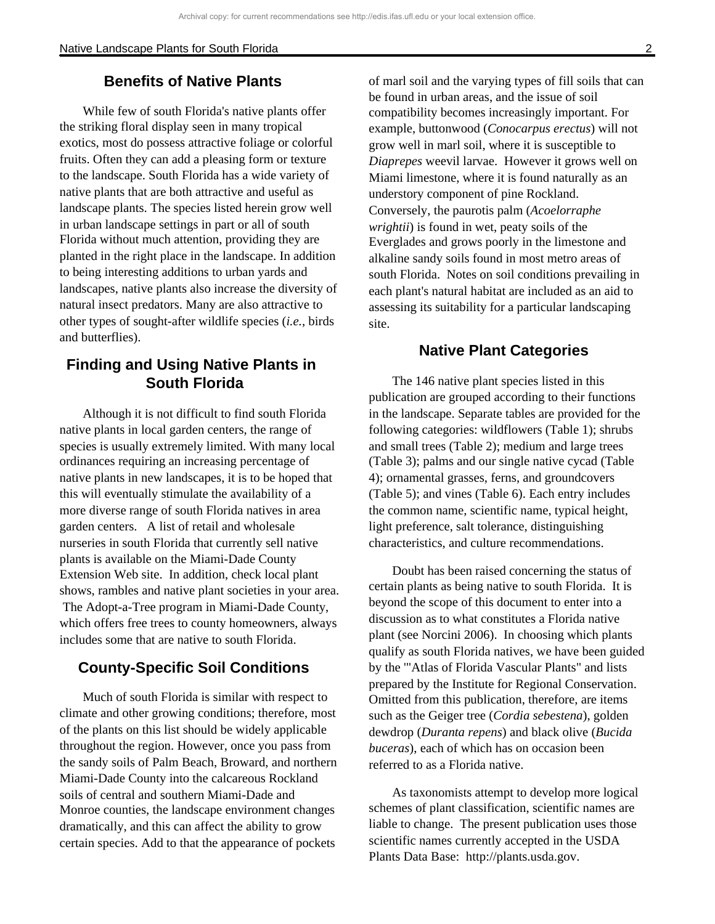# **Benefits of Native Plants**

While few of south Florida's native plants offer the striking floral display seen in many tropical exotics, most do possess attractive foliage or colorful fruits. Often they can add a pleasing form or texture to the landscape. South Florida has a wide variety of native plants that are both attractive and useful as landscape plants. The species listed herein grow well in urban landscape settings in part or all of south Florida without much attention, providing they are planted in the right place in the landscape. In addition to being interesting additions to urban yards and landscapes, native plants also increase the diversity of natural insect predators. Many are also attractive to other types of sought-after wildlife species (*i.e.*, birds and butterflies).

# **Finding and Using Native Plants in South Florida**

Although it is not difficult to find south Florida native plants in local garden centers, the range of species is usually extremely limited. With many local ordinances requiring an increasing percentage of native plants in new landscapes, it is to be hoped that this will eventually stimulate the availability of a more diverse range of south Florida natives in area garden centers. A list of retail and wholesale nurseries in south Florida that currently sell native plants is available on the Miami-Dade County Extension Web site. In addition, check local plant shows, rambles and native plant societies in your area. The Adopt-a-Tree program in Miami-Dade County, which offers free trees to county homeowners, always includes some that are native to south Florida.

# **County-Specific Soil Conditions**

Much of south Florida is similar with respect to climate and other growing conditions; therefore, most of the plants on this list should be widely applicable throughout the region. However, once you pass from the sandy soils of Palm Beach, Broward, and northern Miami-Dade County into the calcareous Rockland soils of central and southern Miami-Dade and Monroe counties, the landscape environment changes dramatically, and this can affect the ability to grow certain species. Add to that the appearance of pockets

of marl soil and the varying types of fill soils that can be found in urban areas, and the issue of soil compatibility becomes increasingly important. For example, buttonwood (*Conocarpus erectus*) will not grow well in marl soil, where it is susceptible to *Diaprepes* weevil larvae. However it grows well on Miami limestone, where it is found naturally as an understory component of pine Rockland. Conversely, the paurotis palm (*Acoelorraphe wrightii*) is found in wet, peaty soils of the Everglades and grows poorly in the limestone and alkaline sandy soils found in most metro areas of south Florida. Notes on soil conditions prevailing in each plant's natural habitat are included as an aid to assessing its suitability for a particular landscaping site.

## **Native Plant Categories**

The 146 native plant species listed in this publication are grouped according to their functions in the landscape. Separate tables are provided for the following categories: wildflowers (Table 1); shrubs and small trees (Table 2); medium and large trees (Table 3); palms and our single native cycad (Table 4); ornamental grasses, ferns, and groundcovers (Table 5); and vines (Table 6). Each entry includes the common name, scientific name, typical height, light preference, salt tolerance, distinguishing characteristics, and culture recommendations.

Doubt has been raised concerning the status of certain plants as being native to south Florida. It is beyond the scope of this document to enter into a discussion as to what constitutes a Florida native plant (see Norcini 2006). In choosing which plants qualify as south Florida natives, we have been guided by the '"Atlas of Florida Vascular Plants" and lists prepared by the Institute for Regional Conservation. Omitted from this publication, therefore, are items such as the Geiger tree (*Cordia sebestena*), golden dewdrop (*Duranta repens*) and black olive (*Bucida buceras*), each of which has on occasion been referred to as a Florida native.

As taxonomists attempt to develop more logical schemes of plant classification, scientific names are liable to change. The present publication uses those scientific names currently accepted in the USDA Plants Data Base: http://plants.usda.gov.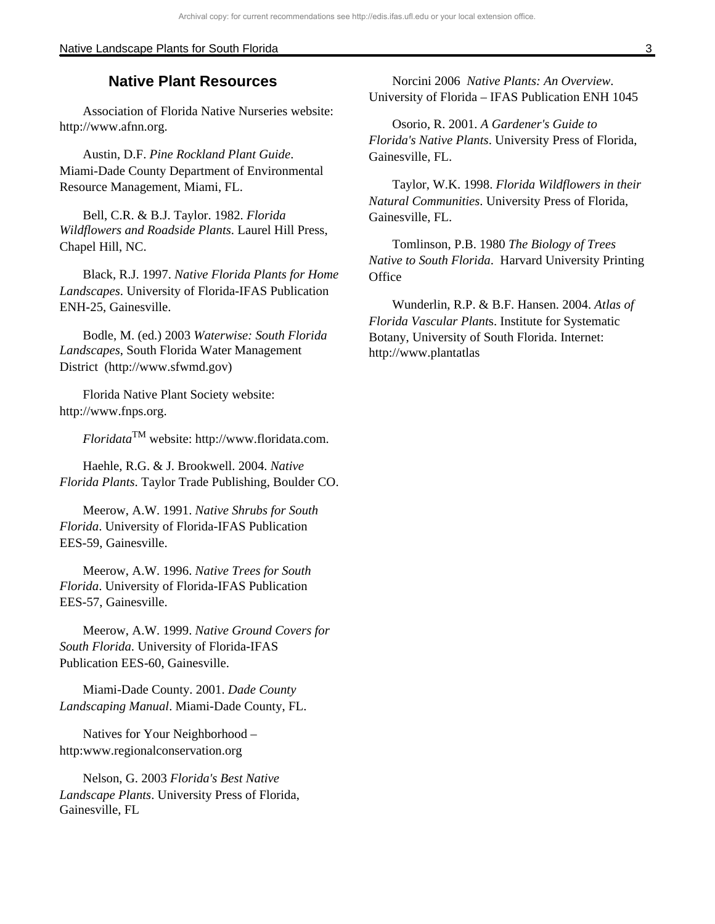## **Native Plant Resources**

Association of Florida Native Nurseries website: http://www.afnn.org.

Austin, D.F. *Pine Rockland Plant Guide*. Miami-Dade County Department of Environmental Resource Management, Miami, FL.

Bell, C.R. & B.J. Taylor. 1982. *Florida Wildflowers and Roadside Plants*. Laurel Hill Press, Chapel Hill, NC.

Black, R.J. 1997. *Native Florida Plants for Home Landscapes*. University of Florida-IFAS Publication ENH-25, Gainesville.

Bodle, M. (ed.) 2003 *Waterwise: South Florida Landscapes*, South Florida Water Management District (http://www.sfwmd.gov)

Florida Native Plant Society website: http://www.fnps.org.

*Floridata*TM website: http://www.floridata.com.

Haehle, R.G. & J. Brookwell. 2004. *Native Florida Plants*. Taylor Trade Publishing, Boulder CO.

Meerow, A.W. 1991. *Native Shrubs for South Florida*. University of Florida-IFAS Publication EES-59, Gainesville.

Meerow, A.W. 1996. *Native Trees for South Florida*. University of Florida-IFAS Publication EES-57, Gainesville.

Meerow, A.W. 1999. *Native Ground Covers for South Florida*. University of Florida-IFAS Publication EES-60, Gainesville.

Miami-Dade County. 2001. *Dade County Landscaping Manual*. Miami-Dade County, FL.

Natives for Your Neighborhood – http:www.regionalconservation.org

Nelson, G. 2003 *Florida's Best Native Landscape Plants*. University Press of Florida, Gainesville, FL

Norcini 2006 *Native Plants: An Overview*. University of Florida – IFAS Publication ENH 1045

Osorio, R. 2001. *A Gardener's Guide to Florida's Native Plants*. University Press of Florida, Gainesville, FL.

Taylor, W.K. 1998. *Florida Wildflowers in their Natural Communities*. University Press of Florida, Gainesville, FL.

Tomlinson, P.B. 1980 *The Biology of Trees Native to South Florida*. Harvard University Printing **Office** 

Wunderlin, R.P. & B.F. Hansen. 2004. *Atlas of Florida Vascular Plant*s. Institute for Systematic Botany, University of South Florida. Internet: http://www.plantatlas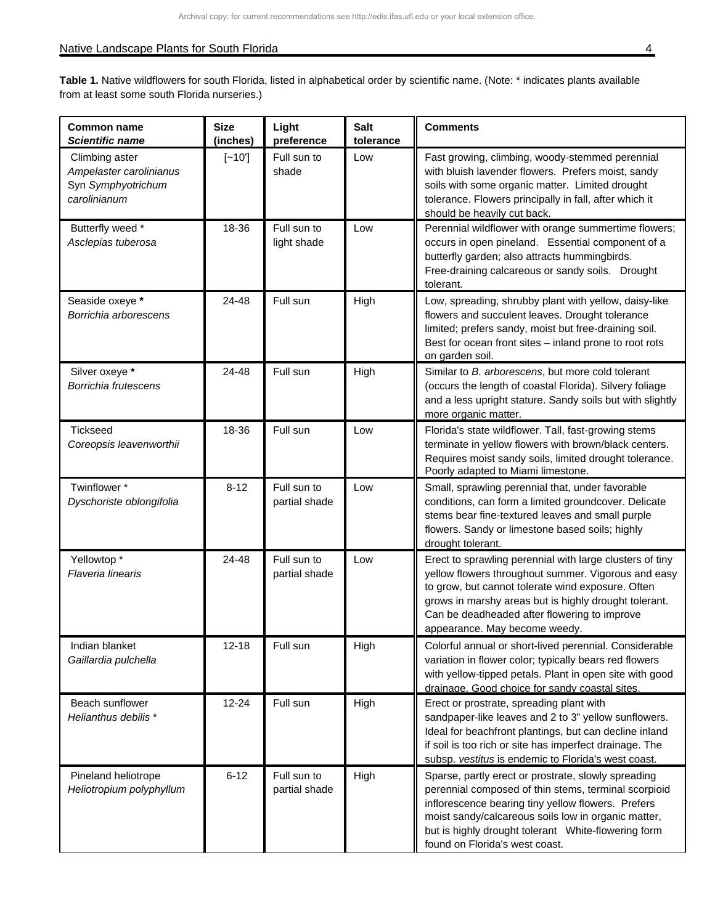| <b>Common name</b><br><b>Scientific name</b>                                    | <b>Size</b><br>(inches) | Light<br>preference          | <b>Salt</b><br>tolerance | <b>Comments</b>                                                                                                                                                                                                                                                                                                   |
|---------------------------------------------------------------------------------|-------------------------|------------------------------|--------------------------|-------------------------------------------------------------------------------------------------------------------------------------------------------------------------------------------------------------------------------------------------------------------------------------------------------------------|
| Climbing aster<br>Ampelaster carolinianus<br>Syn Symphyotrichum<br>carolinianum | $[-10]$                 | Full sun to<br>shade         | Low                      | Fast growing, climbing, woody-stemmed perennial<br>with bluish lavender flowers. Prefers moist, sandy<br>soils with some organic matter. Limited drought<br>tolerance. Flowers principally in fall, after which it<br>should be heavily cut back.                                                                 |
| Butterfly weed *<br>Asclepias tuberosa                                          | 18-36                   | Full sun to<br>light shade   | Low                      | Perennial wildflower with orange summertime flowers;<br>occurs in open pineland. Essential component of a<br>butterfly garden; also attracts hummingbirds.<br>Free-draining calcareous or sandy soils. Drought<br>tolerant.                                                                                       |
| Seaside oxeye *<br>Borrichia arborescens                                        | 24-48                   | Full sun                     | High                     | Low, spreading, shrubby plant with yellow, daisy-like<br>flowers and succulent leaves. Drought tolerance<br>limited; prefers sandy, moist but free-draining soil.<br>Best for ocean front sites - inland prone to root rots<br>on garden soil.                                                                    |
| Silver oxeye *<br>Borrichia frutescens                                          | 24-48                   | Full sun                     | High                     | Similar to B. arborescens, but more cold tolerant<br>(occurs the length of coastal Florida). Silvery foliage<br>and a less upright stature. Sandy soils but with slightly<br>more organic matter.                                                                                                                 |
| <b>Tickseed</b><br>Coreopsis leavenworthii                                      | 18-36                   | Full sun                     | Low                      | Florida's state wildflower. Tall, fast-growing stems<br>terminate in yellow flowers with brown/black centers.<br>Requires moist sandy soils, limited drought tolerance.<br>Poorly adapted to Miami limestone.                                                                                                     |
| Twinflower*<br>Dyschoriste oblongifolia                                         | $8 - 12$                | Full sun to<br>partial shade | Low                      | Small, sprawling perennial that, under favorable<br>conditions, can form a limited groundcover. Delicate<br>stems bear fine-textured leaves and small purple<br>flowers. Sandy or limestone based soils; highly<br>drought tolerant.                                                                              |
| Yellowtop *<br>Flaveria linearis                                                | 24-48                   | Full sun to<br>partial shade | Low                      | Erect to sprawling perennial with large clusters of tiny<br>yellow flowers throughout summer. Vigorous and easy<br>to grow, but cannot tolerate wind exposure. Often<br>grows in marshy areas but is highly drought tolerant.<br>Can be deadheaded after flowering to improve<br>appearance. May become weedy.    |
| Indian blanket<br>Gaillardia pulchella                                          | $12 - 18$               | Full sun                     | High                     | Colorful annual or short-lived perennial. Considerable<br>variation in flower color; typically bears red flowers<br>with yellow-tipped petals. Plant in open site with good<br>drainage. Good choice for sandy coastal sites.                                                                                     |
| Beach sunflower<br>Helianthus debilis*                                          | $12 - 24$               | Full sun                     | High                     | Erect or prostrate, spreading plant with<br>sandpaper-like leaves and 2 to 3" yellow sunflowers.<br>Ideal for beachfront plantings, but can decline inland<br>if soil is too rich or site has imperfect drainage. The<br>subsp. vestitus is endemic to Florida's west coast.                                      |
| Pineland heliotrope<br>Heliotropium polyphyllum                                 | $6 - 12$                | Full sun to<br>partial shade | High                     | Sparse, partly erect or prostrate, slowly spreading<br>perennial composed of thin stems, terminal scorpioid<br>inflorescence bearing tiny yellow flowers. Prefers<br>moist sandy/calcareous soils low in organic matter,<br>but is highly drought tolerant White-flowering form<br>found on Florida's west coast. |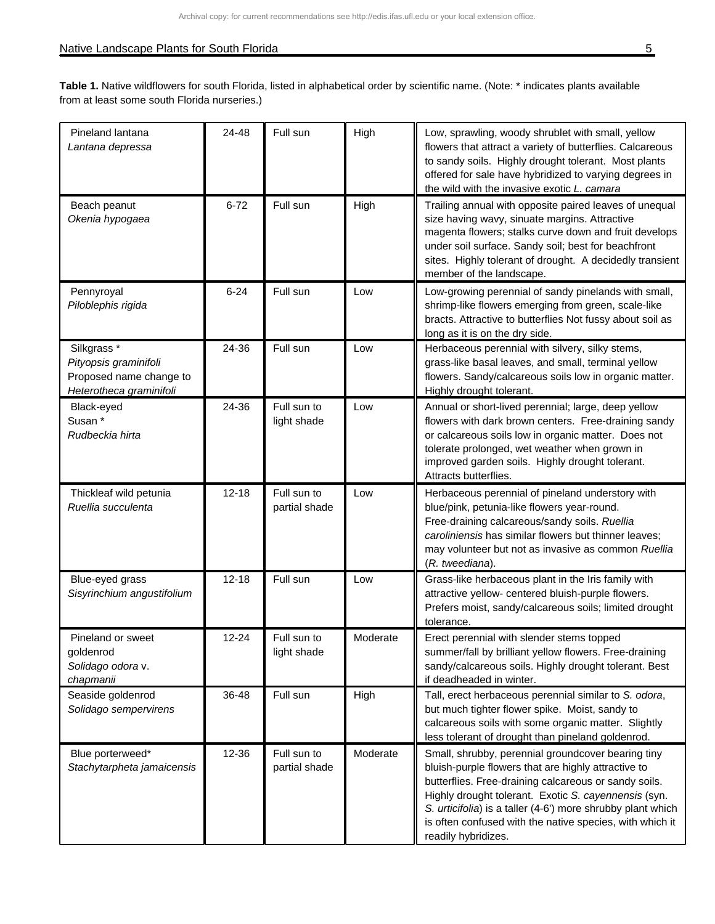| Pineland lantana<br>Lantana depressa                                                                  | 24-48     | Full sun                     | High     | Low, sprawling, woody shrublet with small, yellow<br>flowers that attract a variety of butterflies. Calcareous<br>to sandy soils. Highly drought tolerant. Most plants<br>offered for sale have hybridized to varying degrees in<br>the wild with the invasive exotic L. camara                                                                                              |
|-------------------------------------------------------------------------------------------------------|-----------|------------------------------|----------|------------------------------------------------------------------------------------------------------------------------------------------------------------------------------------------------------------------------------------------------------------------------------------------------------------------------------------------------------------------------------|
| Beach peanut<br>Okenia hypogaea                                                                       | $6 - 72$  | Full sun                     | High     | Trailing annual with opposite paired leaves of unequal<br>size having wavy, sinuate margins. Attractive<br>magenta flowers; stalks curve down and fruit develops<br>under soil surface. Sandy soil; best for beachfront<br>sites. Highly tolerant of drought. A decidedly transient<br>member of the landscape.                                                              |
| Pennyroyal<br>Piloblephis rigida                                                                      | $6 - 24$  | Full sun                     | Low      | Low-growing perennial of sandy pinelands with small,<br>shrimp-like flowers emerging from green, scale-like<br>bracts. Attractive to butterflies Not fussy about soil as<br>long as it is on the dry side.                                                                                                                                                                   |
| Silkgrass <sup>*</sup><br>Pityopsis graminifoli<br>Proposed name change to<br>Heterotheca graminifoli | 24-36     | Full sun                     | Low      | Herbaceous perennial with silvery, silky stems,<br>grass-like basal leaves, and small, terminal yellow<br>flowers. Sandy/calcareous soils low in organic matter.<br>Highly drought tolerant.                                                                                                                                                                                 |
| Black-eyed<br>Susan*<br>Rudbeckia hirta                                                               | 24-36     | Full sun to<br>light shade   | Low      | Annual or short-lived perennial; large, deep yellow<br>flowers with dark brown centers. Free-draining sandy<br>or calcareous soils low in organic matter. Does not<br>tolerate prolonged, wet weather when grown in<br>improved garden soils. Highly drought tolerant.<br>Attracts butterflies.                                                                              |
| Thickleaf wild petunia<br>Ruellia succulenta                                                          | $12 - 18$ | Full sun to<br>partial shade | Low      | Herbaceous perennial of pineland understory with<br>blue/pink, petunia-like flowers year-round.<br>Free-draining calcareous/sandy soils. Ruellia<br>caroliniensis has similar flowers but thinner leaves;<br>may volunteer but not as invasive as common Ruellia<br>(R. tweediana).                                                                                          |
| Blue-eyed grass<br>Sisyrinchium angustifolium                                                         | $12 - 18$ | Full sun                     | Low      | Grass-like herbaceous plant in the Iris family with<br>attractive yellow- centered bluish-purple flowers.<br>Prefers moist, sandy/calcareous soils; limited drought<br>tolerance.                                                                                                                                                                                            |
| Pineland or sweet<br>goldenrod<br>Solidago odora v.<br>chapmanii                                      | $12 - 24$ | Full sun to<br>light shade   | Moderate | Erect perennial with slender stems topped<br>summer/fall by brilliant yellow flowers. Free-draining<br>sandy/calcareous soils. Highly drought tolerant. Best<br>if deadheaded in winter.                                                                                                                                                                                     |
| Seaside goldenrod<br>Solidago sempervirens                                                            | 36-48     | Full sun                     | High     | Tall, erect herbaceous perennial similar to S. odora,<br>but much tighter flower spike. Moist, sandy to<br>calcareous soils with some organic matter. Slightly<br>less tolerant of drought than pineland goldenrod.                                                                                                                                                          |
| Blue porterweed*<br>Stachytarpheta jamaicensis                                                        | 12-36     | Full sun to<br>partial shade | Moderate | Small, shrubby, perennial groundcover bearing tiny<br>bluish-purple flowers that are highly attractive to<br>butterflies. Free-draining calcareous or sandy soils.<br>Highly drought tolerant. Exotic S. cayennensis (syn.<br>S. urticifolia) is a taller (4-6') more shrubby plant which<br>is often confused with the native species, with which it<br>readily hybridizes. |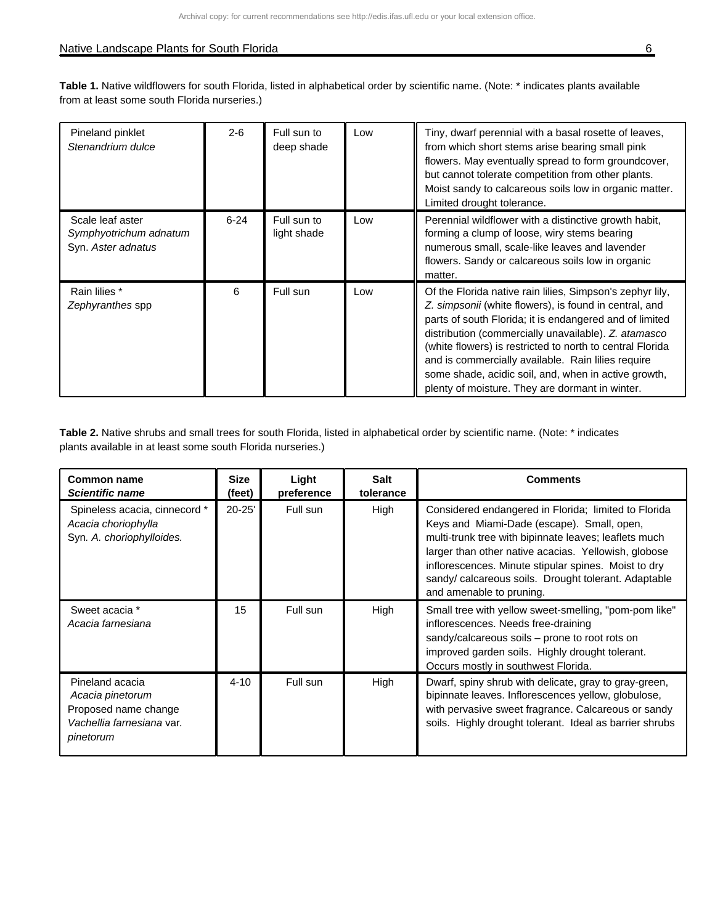**Table 1.** Native wildflowers for south Florida, listed in alphabetical order by scientific name. (Note: \* indicates plants available from at least some south Florida nurseries.)

| Pineland pinklet<br>Stenandrium dulce                            | $2 - 6$  | Full sun to<br>deep shade  | Low | Tiny, dwarf perennial with a basal rosette of leaves,<br>from which short stems arise bearing small pink<br>flowers. May eventually spread to form groundcover,<br>but cannot tolerate competition from other plants.<br>Moist sandy to calcareous soils low in organic matter.<br>Limited drought tolerance.                                                                                                                                                        |
|------------------------------------------------------------------|----------|----------------------------|-----|----------------------------------------------------------------------------------------------------------------------------------------------------------------------------------------------------------------------------------------------------------------------------------------------------------------------------------------------------------------------------------------------------------------------------------------------------------------------|
| Scale leaf aster<br>Symphyotrichum adnatum<br>Syn. Aster adnatus | $6 - 24$ | Full sun to<br>light shade | Low | Perennial wildflower with a distinctive growth habit,<br>forming a clump of loose, wiry stems bearing<br>numerous small, scale-like leaves and lavender<br>flowers. Sandy or calcareous soils low in organic<br>matter.                                                                                                                                                                                                                                              |
| Rain lilies *<br>Zephyranthes spp                                | 6        | Full sun                   | Low | Of the Florida native rain lilies, Simpson's zephyr lily,<br>Z. simpsonii (white flowers), is found in central, and<br>parts of south Florida; it is endangered and of limited<br>distribution (commercially unavailable). Z. atamasco<br>(white flowers) is restricted to north to central Florida<br>and is commercially available. Rain lilies require<br>some shade, acidic soil, and, when in active growth,<br>plenty of moisture. They are dormant in winter. |

| Common name<br><b>Scientific name</b>                                                                 | <b>Size</b><br>(feet) | Light<br>preference | <b>Salt</b><br>tolerance | <b>Comments</b>                                                                                                                                                                                                                                                                                                                                                |
|-------------------------------------------------------------------------------------------------------|-----------------------|---------------------|--------------------------|----------------------------------------------------------------------------------------------------------------------------------------------------------------------------------------------------------------------------------------------------------------------------------------------------------------------------------------------------------------|
| Spineless acacia, cinnecord *<br>Acacia choriophylla<br>Syn. A. choriophylloides.                     | $20 - 25'$            | Full sun            | High                     | Considered endangered in Florida; limited to Florida<br>Keys and Miami-Dade (escape). Small, open,<br>multi-trunk tree with bipinnate leaves; leaflets much<br>larger than other native acacias. Yellowish, globose<br>inflorescences. Minute stipular spines. Moist to dry<br>sandy/calcareous soils. Drought tolerant. Adaptable<br>and amenable to pruning. |
| Sweet acacia *<br>Acacia farnesiana                                                                   | 15                    | Full sun            | High                     | Small tree with yellow sweet-smelling, "pom-pom like"<br>inflorescences. Needs free-draining<br>sandy/calcareous soils – prone to root rots on<br>improved garden soils. Highly drought tolerant.<br>Occurs mostly in southwest Florida.                                                                                                                       |
| Pineland acacia<br>Acacia pinetorum<br>Proposed name change<br>Vachellia farnesiana var.<br>pinetorum | $4 - 10$              | Full sun            | High                     | Dwarf, spiny shrub with delicate, gray to gray-green,<br>bipinnate leaves. Inflorescences yellow, globulose,<br>with pervasive sweet fragrance. Calcareous or sandy<br>soils. Highly drought tolerant. Ideal as barrier shrubs                                                                                                                                 |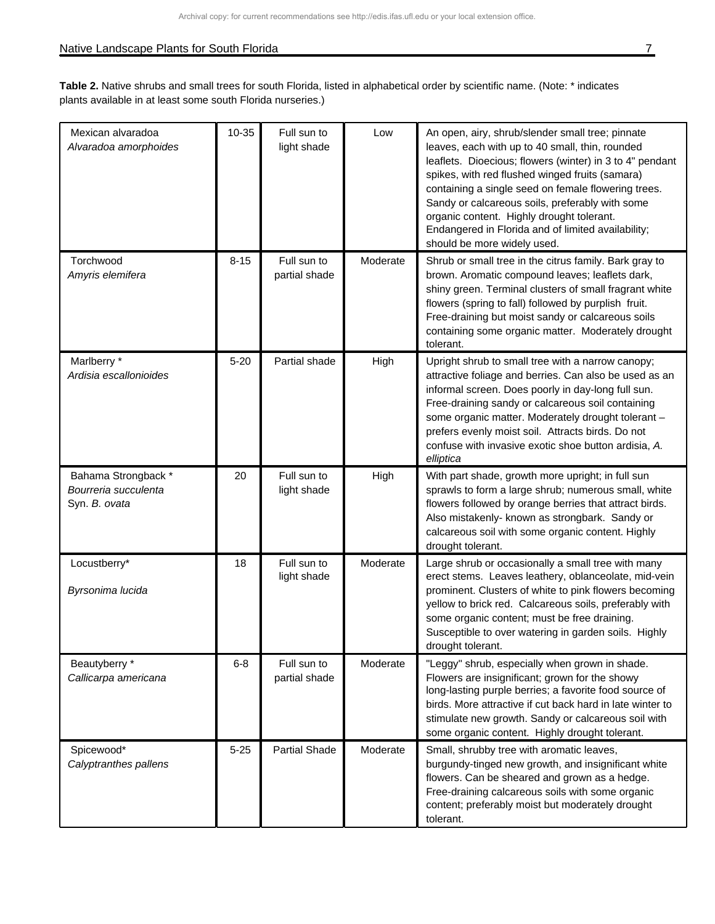## Native Landscape Plants for South Florida 7 and 7 and 7 and 7 and 7 and 7 and 7 and 7 and 7 and 7 and 7 and 7 and 7 and 7 and 7 and 7 and 7 and 7 and 7 and 7 and 7 and 7 and 7 and 7 and 7 and 7 and 7 and 7 and 7 and 7 and

| Mexican alvaradoa<br>Alvaradoa amorphoides                   | $10 - 35$ | Full sun to<br>light shade   | Low      | An open, airy, shrub/slender small tree; pinnate<br>leaves, each with up to 40 small, thin, rounded<br>leaflets. Dioecious; flowers (winter) in 3 to 4" pendant<br>spikes, with red flushed winged fruits (samara)<br>containing a single seed on female flowering trees.<br>Sandy or calcareous soils, preferably with some<br>organic content. Highly drought tolerant.<br>Endangered in Florida and of limited availability;<br>should be more widely used. |
|--------------------------------------------------------------|-----------|------------------------------|----------|----------------------------------------------------------------------------------------------------------------------------------------------------------------------------------------------------------------------------------------------------------------------------------------------------------------------------------------------------------------------------------------------------------------------------------------------------------------|
| Torchwood<br>Amyris elemifera                                | $8 - 15$  | Full sun to<br>partial shade | Moderate | Shrub or small tree in the citrus family. Bark gray to<br>brown. Aromatic compound leaves; leaflets dark,<br>shiny green. Terminal clusters of small fragrant white<br>flowers (spring to fall) followed by purplish fruit.<br>Free-draining but moist sandy or calcareous soils<br>containing some organic matter. Moderately drought<br>tolerant.                                                                                                            |
| Marlberry *<br>Ardisia escallonioides                        | $5 - 20$  | Partial shade                | High     | Upright shrub to small tree with a narrow canopy;<br>attractive foliage and berries. Can also be used as an<br>informal screen. Does poorly in day-long full sun.<br>Free-draining sandy or calcareous soil containing<br>some organic matter. Moderately drought tolerant -<br>prefers evenly moist soil. Attracts birds. Do not<br>confuse with invasive exotic shoe button ardisia, A.<br>elliptica                                                         |
| Bahama Strongback *<br>Bourreria succulenta<br>Syn. B. ovata | 20        | Full sun to<br>light shade   | High     | With part shade, growth more upright; in full sun<br>sprawls to form a large shrub; numerous small, white<br>flowers followed by orange berries that attract birds.<br>Also mistakenly- known as strongbark. Sandy or<br>calcareous soil with some organic content. Highly<br>drought tolerant.                                                                                                                                                                |
| Locustberry*<br>Byrsonima lucida                             | 18        | Full sun to<br>light shade   | Moderate | Large shrub or occasionally a small tree with many<br>erect stems. Leaves leathery, oblanceolate, mid-vein<br>prominent. Clusters of white to pink flowers becoming<br>yellow to brick red. Calcareous soils, preferably with<br>some organic content; must be free draining.<br>Susceptible to over watering in garden soils. Highly<br>drought tolerant.                                                                                                     |
| Beautyberry *<br>Callicarpa americana                        | $6 - 8$   | Full sun to<br>partial shade | Moderate | "Leggy" shrub, especially when grown in shade.<br>Flowers are insignificant; grown for the showy<br>long-lasting purple berries; a favorite food source of<br>birds. More attractive if cut back hard in late winter to<br>stimulate new growth. Sandy or calcareous soil with<br>some organic content. Highly drought tolerant.                                                                                                                               |
| Spicewood*<br>Calyptranthes pallens                          | $5 - 25$  | <b>Partial Shade</b>         | Moderate | Small, shrubby tree with aromatic leaves,<br>burgundy-tinged new growth, and insignificant white<br>flowers. Can be sheared and grown as a hedge.<br>Free-draining calcareous soils with some organic<br>content; preferably moist but moderately drought<br>tolerant.                                                                                                                                                                                         |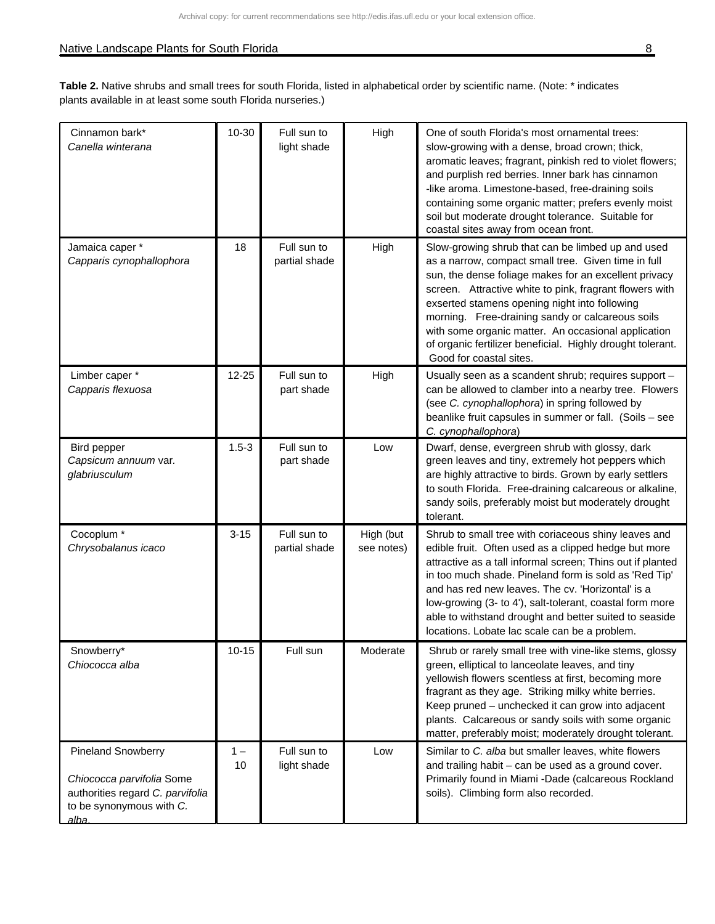| Cinnamon bark*<br>Canella winterana                                                                                             | $10 - 30$   | Full sun to<br>light shade   | High                    | One of south Florida's most ornamental trees:<br>slow-growing with a dense, broad crown; thick,<br>aromatic leaves; fragrant, pinkish red to violet flowers;<br>and purplish red berries. Inner bark has cinnamon<br>-like aroma. Limestone-based, free-draining soils<br>containing some organic matter; prefers evenly moist<br>soil but moderate drought tolerance. Suitable for<br>coastal sites away from ocean front.                                                       |
|---------------------------------------------------------------------------------------------------------------------------------|-------------|------------------------------|-------------------------|-----------------------------------------------------------------------------------------------------------------------------------------------------------------------------------------------------------------------------------------------------------------------------------------------------------------------------------------------------------------------------------------------------------------------------------------------------------------------------------|
| Jamaica caper *<br>Capparis cynophallophora                                                                                     | 18          | Full sun to<br>partial shade | High                    | Slow-growing shrub that can be limbed up and used<br>as a narrow, compact small tree. Given time in full<br>sun, the dense foliage makes for an excellent privacy<br>screen. Attractive white to pink, fragrant flowers with<br>exserted stamens opening night into following<br>morning. Free-draining sandy or calcareous soils<br>with some organic matter. An occasional application<br>of organic fertilizer beneficial. Highly drought tolerant.<br>Good for coastal sites. |
| Limber caper *<br>Capparis flexuosa                                                                                             | 12-25       | Full sun to<br>part shade    | High                    | Usually seen as a scandent shrub; requires support -<br>can be allowed to clamber into a nearby tree. Flowers<br>(see C. cynophallophora) in spring followed by<br>beanlike fruit capsules in summer or fall. (Soils - see<br>C. cynophallophora)                                                                                                                                                                                                                                 |
| Bird pepper<br>Capsicum annuum var.<br>glabriusculum                                                                            | $1.5 - 3$   | Full sun to<br>part shade    | Low                     | Dwarf, dense, evergreen shrub with glossy, dark<br>green leaves and tiny, extremely hot peppers which<br>are highly attractive to birds. Grown by early settlers<br>to south Florida. Free-draining calcareous or alkaline,<br>sandy soils, preferably moist but moderately drought<br>tolerant.                                                                                                                                                                                  |
| Cocoplum <sup>*</sup><br>Chrysobalanus icaco                                                                                    | $3 - 15$    | Full sun to<br>partial shade | High (but<br>see notes) | Shrub to small tree with coriaceous shiny leaves and<br>edible fruit. Often used as a clipped hedge but more<br>attractive as a tall informal screen; Thins out if planted<br>in too much shade. Pineland form is sold as 'Red Tip'<br>and has red new leaves. The cv. 'Horizontal' is a<br>low-growing (3- to 4'), salt-tolerant, coastal form more<br>able to withstand drought and better suited to seaside<br>locations. Lobate lac scale can be a problem.                   |
| Snowberry*<br>Chiococca alba                                                                                                    | $10 - 15$   | Full sun                     | Moderate                | Shrub or rarely small tree with vine-like stems, glossy<br>green, elliptical to lanceolate leaves, and tiny<br>yellowish flowers scentless at first, becoming more<br>fragrant as they age. Striking milky white berries.<br>Keep pruned - unchecked it can grow into adjacent<br>plants. Calcareous or sandy soils with some organic<br>matter, preferably moist; moderately drought tolerant.                                                                                   |
| <b>Pineland Snowberry</b><br>Chiococca parvifolia Some<br>authorities regard C. parvifolia<br>to be synonymous with C.<br>alba. | $1 -$<br>10 | Full sun to<br>light shade   | Low                     | Similar to C. alba but smaller leaves, white flowers<br>and trailing habit - can be used as a ground cover.<br>Primarily found in Miami -Dade (calcareous Rockland<br>soils). Climbing form also recorded.                                                                                                                                                                                                                                                                        |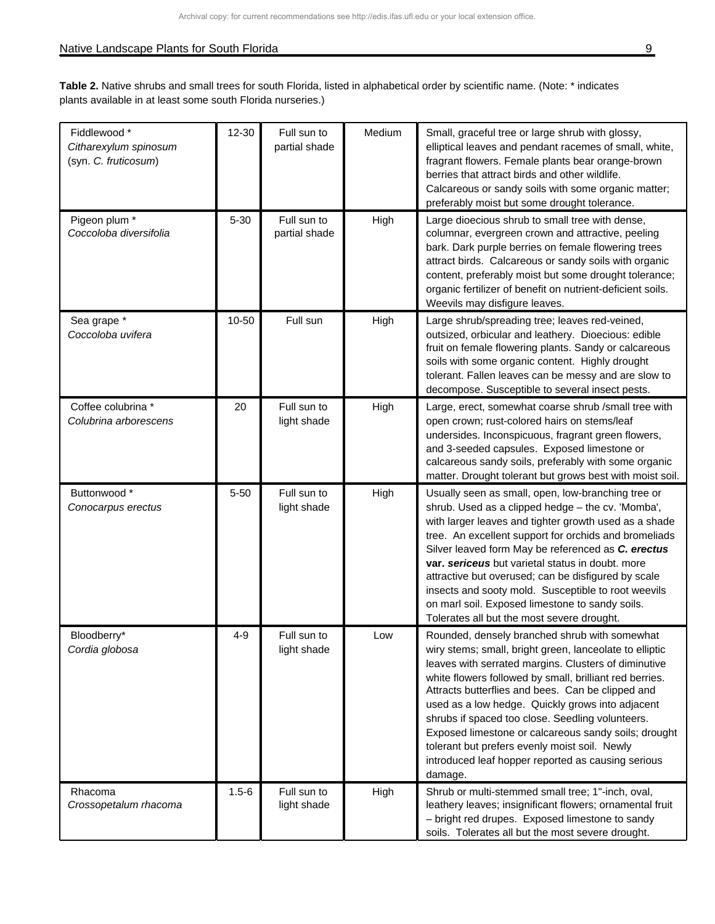| Fiddlewood *                                  | $12 - 30$ | Full sun to                  | Medium | Small, graceful tree or large shrub with glossy,                                                                                                                                                                                                                                                                                                                                                                                                                                                                                                                   |
|-----------------------------------------------|-----------|------------------------------|--------|--------------------------------------------------------------------------------------------------------------------------------------------------------------------------------------------------------------------------------------------------------------------------------------------------------------------------------------------------------------------------------------------------------------------------------------------------------------------------------------------------------------------------------------------------------------------|
| Citharexylum spinosum<br>(syn. C. fruticosum) |           | partial shade                |        | elliptical leaves and pendant racemes of small, white,<br>fragrant flowers. Female plants bear orange-brown                                                                                                                                                                                                                                                                                                                                                                                                                                                        |
|                                               |           |                              |        | berries that attract birds and other wildlife.                                                                                                                                                                                                                                                                                                                                                                                                                                                                                                                     |
|                                               |           |                              |        | Calcareous or sandy soils with some organic matter;<br>preferably moist but some drought tolerance.                                                                                                                                                                                                                                                                                                                                                                                                                                                                |
| Pigeon plum *<br>Coccoloba diversifolia       | $5 - 30$  | Full sun to<br>partial shade | High   | Large dioecious shrub to small tree with dense,<br>columnar, evergreen crown and attractive, peeling<br>bark. Dark purple berries on female flowering trees<br>attract birds. Calcareous or sandy soils with organic<br>content, preferably moist but some drought tolerance;<br>organic fertilizer of benefit on nutrient-deficient soils.<br>Weevils may disfigure leaves.                                                                                                                                                                                       |
| Sea grape *<br>Coccoloba uvifera              | 10-50     | Full sun                     | High   | Large shrub/spreading tree; leaves red-veined,<br>outsized, orbicular and leathery. Dioecious: edible<br>fruit on female flowering plants. Sandy or calcareous<br>soils with some organic content. Highly drought<br>tolerant. Fallen leaves can be messy and are slow to<br>decompose. Susceptible to several insect pests.                                                                                                                                                                                                                                       |
| Coffee colubrina *<br>Colubrina arborescens   | 20        | Full sun to<br>light shade   | High   | Large, erect, somewhat coarse shrub /small tree with<br>open crown; rust-colored hairs on stems/leaf<br>undersides. Inconspicuous, fragrant green flowers,<br>and 3-seeded capsules. Exposed limestone or<br>calcareous sandy soils, preferably with some organic<br>matter. Drought tolerant but grows best with moist soil.                                                                                                                                                                                                                                      |
| Buttonwood *<br>Conocarpus erectus            | $5 - 50$  | Full sun to<br>light shade   | High   | Usually seen as small, open, low-branching tree or<br>shrub. Used as a clipped hedge - the cv. 'Momba',<br>with larger leaves and tighter growth used as a shade<br>tree. An excellent support for orchids and bromeliads<br>Silver leaved form May be referenced as C. erectus<br>var. sericeus but varietal status in doubt. more<br>attractive but overused; can be disfigured by scale<br>insects and sooty mold. Susceptible to root weevils<br>on marl soil. Exposed limestone to sandy soils.<br>Tolerates all but the most severe drought.                 |
| Bloodberry*<br>Cordia globosa                 | $4 - 9$   | Full sun to<br>light shade   | Low    | Rounded, densely branched shrub with somewhat<br>wiry stems; small, bright green, lanceolate to elliptic<br>leaves with serrated margins. Clusters of diminutive<br>white flowers followed by small, brilliant red berries.<br>Attracts butterflies and bees. Can be clipped and<br>used as a low hedge. Quickly grows into adjacent<br>shrubs if spaced too close. Seedling volunteers.<br>Exposed limestone or calcareous sandy soils; drought<br>tolerant but prefers evenly moist soil. Newly<br>introduced leaf hopper reported as causing serious<br>damage. |
| Rhacoma<br>Crossopetalum rhacoma              | $1.5 - 6$ | Full sun to<br>light shade   | High   | Shrub or multi-stemmed small tree; 1"-inch, oval,<br>leathery leaves; insignificant flowers; ornamental fruit<br>- bright red drupes. Exposed limestone to sandy<br>soils. Tolerates all but the most severe drought.                                                                                                                                                                                                                                                                                                                                              |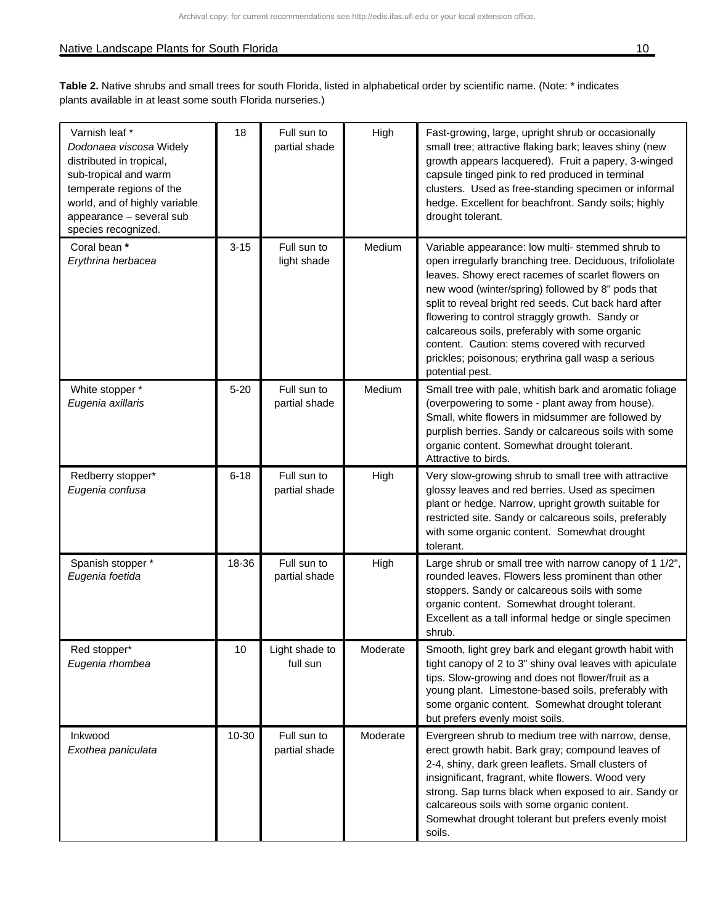#### Native Landscape Plants for South Florida 10 and 20 and 20 and 20 and 20 and 20 and 20 and 20 and 20 and 20 and 20 and 20 and 20 and 20 and 20 and 20 and 20 and 20 and 20 and 20 and 20 and 20 and 20 and 20 and 20 and 20 an

| Varnish leaf *<br>Dodonaea viscosa Widely<br>distributed in tropical,<br>sub-tropical and warm<br>temperate regions of the<br>world, and of highly variable<br>appearance - several sub<br>species recognized. | 18       | Full sun to<br>partial shade | High     | Fast-growing, large, upright shrub or occasionally<br>small tree; attractive flaking bark; leaves shiny (new<br>growth appears lacquered). Fruit a papery, 3-winged<br>capsule tinged pink to red produced in terminal<br>clusters. Used as free-standing specimen or informal<br>hedge. Excellent for beachfront. Sandy soils; highly<br>drought tolerant.                                                                                                                                                   |
|----------------------------------------------------------------------------------------------------------------------------------------------------------------------------------------------------------------|----------|------------------------------|----------|---------------------------------------------------------------------------------------------------------------------------------------------------------------------------------------------------------------------------------------------------------------------------------------------------------------------------------------------------------------------------------------------------------------------------------------------------------------------------------------------------------------|
| Coral bean *<br>Erythrina herbacea                                                                                                                                                                             | $3 - 15$ | Full sun to<br>light shade   | Medium   | Variable appearance: low multi- stemmed shrub to<br>open irregularly branching tree. Deciduous, trifoliolate<br>leaves. Showy erect racemes of scarlet flowers on<br>new wood (winter/spring) followed by 8" pods that<br>split to reveal bright red seeds. Cut back hard after<br>flowering to control straggly growth. Sandy or<br>calcareous soils, preferably with some organic<br>content. Caution: stems covered with recurved<br>prickles; poisonous; erythrina gall wasp a serious<br>potential pest. |
| White stopper *<br>Eugenia axillaris                                                                                                                                                                           | $5 - 20$ | Full sun to<br>partial shade | Medium   | Small tree with pale, whitish bark and aromatic foliage<br>(overpowering to some - plant away from house).<br>Small, white flowers in midsummer are followed by<br>purplish berries. Sandy or calcareous soils with some<br>organic content. Somewhat drought tolerant.<br>Attractive to birds.                                                                                                                                                                                                               |
| Redberry stopper*<br>Eugenia confusa                                                                                                                                                                           | $6 - 18$ | Full sun to<br>partial shade | High     | Very slow-growing shrub to small tree with attractive<br>glossy leaves and red berries. Used as specimen<br>plant or hedge. Narrow, upright growth suitable for<br>restricted site. Sandy or calcareous soils, preferably<br>with some organic content. Somewhat drought<br>tolerant.                                                                                                                                                                                                                         |
| Spanish stopper *<br>Eugenia foetida                                                                                                                                                                           | 18-36    | Full sun to<br>partial shade | High     | Large shrub or small tree with narrow canopy of 1 1/2",<br>rounded leaves. Flowers less prominent than other<br>stoppers. Sandy or calcareous soils with some<br>organic content. Somewhat drought tolerant.<br>Excellent as a tall informal hedge or single specimen<br>shrub.                                                                                                                                                                                                                               |
| Red stopper*<br>Eugenia rhombea                                                                                                                                                                                | 10       | Light shade to<br>full sun   | Moderate | Smooth, light grey bark and elegant growth habit with<br>tight canopy of 2 to 3" shiny oval leaves with apiculate<br>tips. Slow-growing and does not flower/fruit as a<br>young plant. Limestone-based soils, preferably with<br>some organic content. Somewhat drought tolerant<br>but prefers evenly moist soils.                                                                                                                                                                                           |
| Inkwood<br>Exothea paniculata                                                                                                                                                                                  | 10-30    | Full sun to<br>partial shade | Moderate | Evergreen shrub to medium tree with narrow, dense,<br>erect growth habit. Bark gray; compound leaves of<br>2-4, shiny, dark green leaflets. Small clusters of<br>insignificant, fragrant, white flowers. Wood very<br>strong. Sap turns black when exposed to air. Sandy or<br>calcareous soils with some organic content.<br>Somewhat drought tolerant but prefers evenly moist<br>soils.                                                                                                                    |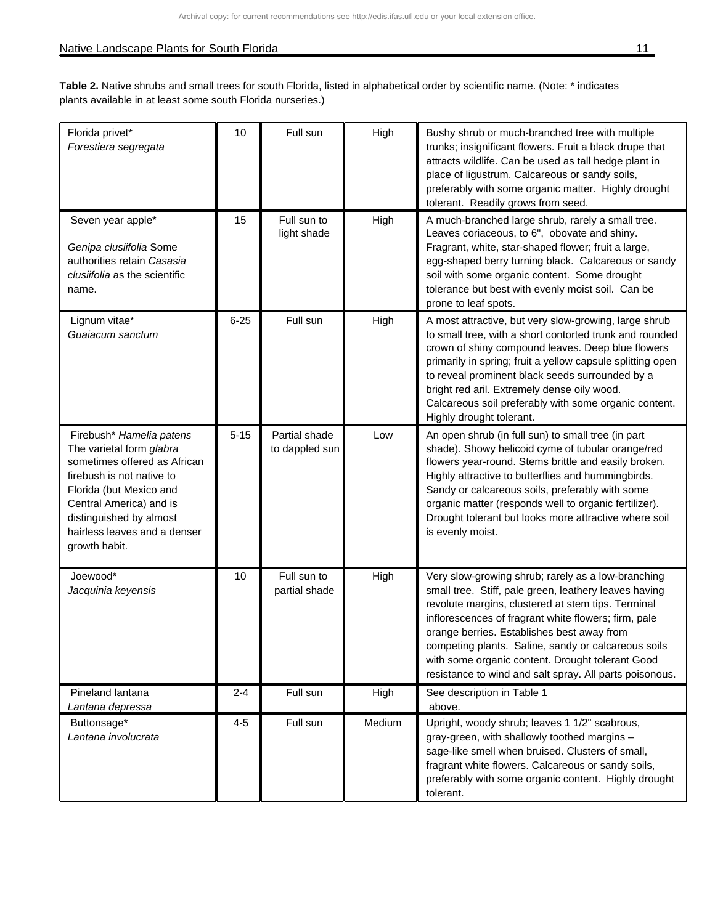## Native Landscape Plants for South Florida 11 and 2012 11 and 2012 11 and 2013 11 and 2014 11 and 2014 11 and 20

| Florida privet*<br>Forestiera segregata                                                                                                                                                                                                             | 10       | Full sun                        | High   | Bushy shrub or much-branched tree with multiple<br>trunks; insignificant flowers. Fruit a black drupe that<br>attracts wildlife. Can be used as tall hedge plant in<br>place of ligustrum. Calcareous or sandy soils,<br>preferably with some organic matter. Highly drought<br>tolerant. Readily grows from seed.                                                                                                                            |
|-----------------------------------------------------------------------------------------------------------------------------------------------------------------------------------------------------------------------------------------------------|----------|---------------------------------|--------|-----------------------------------------------------------------------------------------------------------------------------------------------------------------------------------------------------------------------------------------------------------------------------------------------------------------------------------------------------------------------------------------------------------------------------------------------|
| Seven year apple*<br>Genipa clusiifolia Some<br>authorities retain Casasia<br>clusiifolia as the scientific<br>name.                                                                                                                                | 15       | Full sun to<br>light shade      | High   | A much-branched large shrub, rarely a small tree.<br>Leaves coriaceous, to 6", obovate and shiny.<br>Fragrant, white, star-shaped flower; fruit a large,<br>egg-shaped berry turning black. Calcareous or sandy<br>soil with some organic content. Some drought<br>tolerance but best with evenly moist soil. Can be<br>prone to leaf spots.                                                                                                  |
| Lignum vitae*<br>Guaiacum sanctum                                                                                                                                                                                                                   | $6 - 25$ | Full sun                        | High   | A most attractive, but very slow-growing, large shrub<br>to small tree, with a short contorted trunk and rounded<br>crown of shiny compound leaves. Deep blue flowers<br>primarily in spring; fruit a yellow capsule splitting open<br>to reveal prominent black seeds surrounded by a<br>bright red aril. Extremely dense oily wood.<br>Calcareous soil preferably with some organic content.<br>Highly drought tolerant.                    |
| Firebush* Hamelia patens<br>The varietal form glabra<br>sometimes offered as African<br>firebush is not native to<br>Florida (but Mexico and<br>Central America) and is<br>distinguished by almost<br>hairless leaves and a denser<br>growth habit. | $5 - 15$ | Partial shade<br>to dappled sun | Low    | An open shrub (in full sun) to small tree (in part<br>shade). Showy helicoid cyme of tubular orange/red<br>flowers year-round. Stems brittle and easily broken.<br>Highly attractive to butterflies and hummingbirds.<br>Sandy or calcareous soils, preferably with some<br>organic matter (responds well to organic fertilizer).<br>Drought tolerant but looks more attractive where soil<br>is evenly moist.                                |
| Joewood*<br>Jacquinia keyensis                                                                                                                                                                                                                      | 10       | Full sun to<br>partial shade    | High   | Very slow-growing shrub; rarely as a low-branching<br>small tree. Stiff, pale green, leathery leaves having<br>revolute margins, clustered at stem tips. Terminal<br>inflorescences of fragrant white flowers; firm, pale<br>orange berries. Establishes best away from<br>competing plants. Saline, sandy or calcareous soils<br>with some organic content. Drought tolerant Good<br>resistance to wind and salt spray. All parts poisonous. |
| Pineland lantana<br>Lantana depressa                                                                                                                                                                                                                | $2 - 4$  | Full sun                        | High   | See description in Table 1<br>above.                                                                                                                                                                                                                                                                                                                                                                                                          |
| Buttonsage*<br>Lantana involucrata                                                                                                                                                                                                                  | $4 - 5$  | Full sun                        | Medium | Upright, woody shrub; leaves 1 1/2" scabrous,<br>gray-green, with shallowly toothed margins -<br>sage-like smell when bruised. Clusters of small,<br>fragrant white flowers. Calcareous or sandy soils,<br>preferably with some organic content. Highly drought<br>tolerant.                                                                                                                                                                  |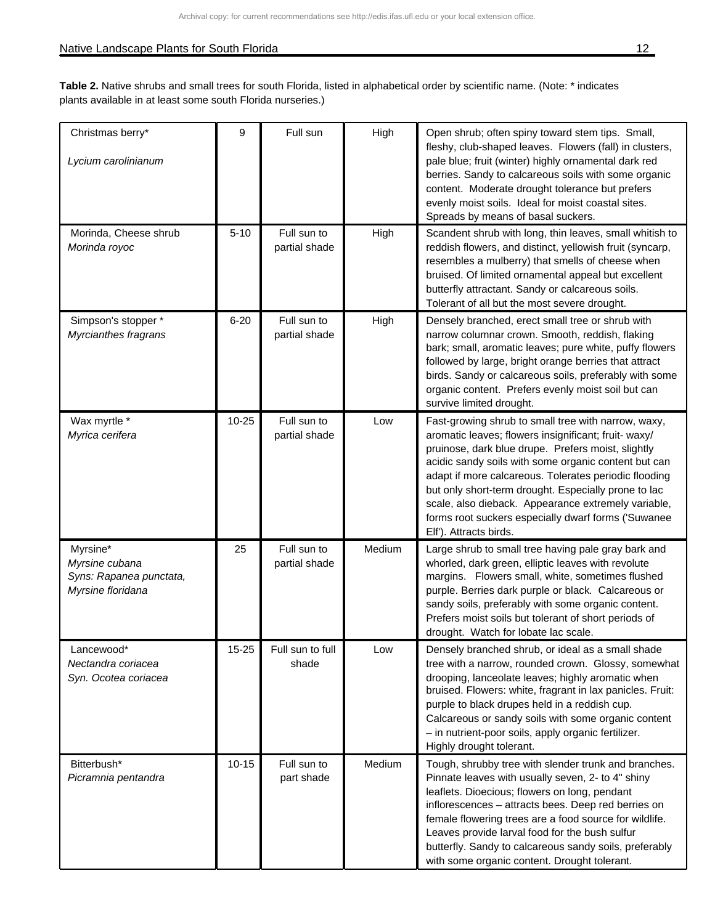| Christmas berry*<br>Lycium carolinianum                                    | 9         | Full sun                     | High   | Open shrub; often spiny toward stem tips. Small,<br>fleshy, club-shaped leaves. Flowers (fall) in clusters,<br>pale blue; fruit (winter) highly ornamental dark red<br>berries. Sandy to calcareous soils with some organic<br>content. Moderate drought tolerance but prefers<br>evenly moist soils. Ideal for moist coastal sites.<br>Spreads by means of basal suckers.                                                                                                         |
|----------------------------------------------------------------------------|-----------|------------------------------|--------|------------------------------------------------------------------------------------------------------------------------------------------------------------------------------------------------------------------------------------------------------------------------------------------------------------------------------------------------------------------------------------------------------------------------------------------------------------------------------------|
| Morinda, Cheese shrub<br>Morinda royoc                                     | $5 - 10$  | Full sun to<br>partial shade | High   | Scandent shrub with long, thin leaves, small whitish to<br>reddish flowers, and distinct, yellowish fruit (syncarp,<br>resembles a mulberry) that smells of cheese when<br>bruised. Of limited ornamental appeal but excellent<br>butterfly attractant. Sandy or calcareous soils.<br>Tolerant of all but the most severe drought.                                                                                                                                                 |
| Simpson's stopper *<br>Myrcianthes fragrans                                | $6 - 20$  | Full sun to<br>partial shade | High   | Densely branched, erect small tree or shrub with<br>narrow columnar crown. Smooth, reddish, flaking<br>bark; small, aromatic leaves; pure white, puffy flowers<br>followed by large, bright orange berries that attract<br>birds. Sandy or calcareous soils, preferably with some<br>organic content. Prefers evenly moist soil but can<br>survive limited drought.                                                                                                                |
| Wax myrtle *<br>Myrica cerifera                                            | $10 - 25$ | Full sun to<br>partial shade | Low    | Fast-growing shrub to small tree with narrow, waxy,<br>aromatic leaves; flowers insignificant; fruit- waxy/<br>pruinose, dark blue drupe. Prefers moist, slightly<br>acidic sandy soils with some organic content but can<br>adapt if more calcareous. Tolerates periodic flooding<br>but only short-term drought. Especially prone to lac<br>scale, also dieback. Appearance extremely variable,<br>forms root suckers especially dwarf forms ('Suwanee<br>Elf'). Attracts birds. |
| Myrsine*<br>Myrsine cubana<br>Syns: Rapanea punctata,<br>Myrsine floridana | 25        | Full sun to<br>partial shade | Medium | Large shrub to small tree having pale gray bark and<br>whorled, dark green, elliptic leaves with revolute<br>margins. Flowers small, white, sometimes flushed<br>purple. Berries dark purple or black. Calcareous or<br>sandy soils, preferably with some organic content.<br>Prefers moist soils but tolerant of short periods of<br>drought. Watch for lobate lac scale.                                                                                                         |
| Lancewood*<br>Nectandra coriacea<br>Syn. Ocotea coriacea                   | $15 - 25$ | Full sun to full<br>shade    | Low    | Densely branched shrub, or ideal as a small shade<br>tree with a narrow, rounded crown. Glossy, somewhat<br>drooping, lanceolate leaves; highly aromatic when<br>bruised. Flowers: white, fragrant in lax panicles. Fruit:<br>purple to black drupes held in a reddish cup.<br>Calcareous or sandy soils with some organic content<br>- in nutrient-poor soils, apply organic fertilizer.<br>Highly drought tolerant.                                                              |
| Bitterbush*<br>Picramnia pentandra                                         | $10 - 15$ | Full sun to<br>part shade    | Medium | Tough, shrubby tree with slender trunk and branches.<br>Pinnate leaves with usually seven, 2- to 4" shiny<br>leaflets. Dioecious; flowers on long, pendant<br>inflorescences - attracts bees. Deep red berries on<br>female flowering trees are a food source for wildlife.<br>Leaves provide larval food for the bush sulfur<br>butterfly. Sandy to calcareous sandy soils, preferably<br>with some organic content. Drought tolerant.                                            |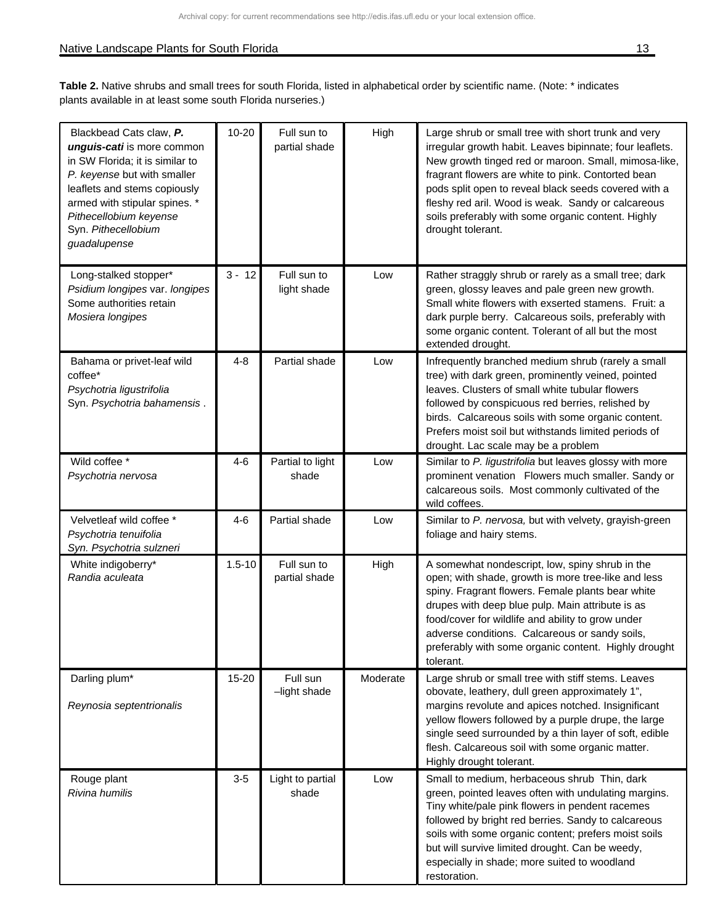| Blackbead Cats claw, P.<br>unguis-cati is more common<br>in SW Florida; it is similar to<br>P. keyense but with smaller<br>leaflets and stems copiously<br>armed with stipular spines. *<br>Pithecellobium keyense<br>Syn. Pithecellobium<br>guadalupense | $10 - 20$  | Full sun to<br>partial shade | High     | Large shrub or small tree with short trunk and very<br>irregular growth habit. Leaves bipinnate; four leaflets.<br>New growth tinged red or maroon. Small, mimosa-like,<br>fragrant flowers are white to pink. Contorted bean<br>pods split open to reveal black seeds covered with a<br>fleshy red aril. Wood is weak. Sandy or calcareous<br>soils preferably with some organic content. Highly<br>drought tolerant. |
|-----------------------------------------------------------------------------------------------------------------------------------------------------------------------------------------------------------------------------------------------------------|------------|------------------------------|----------|------------------------------------------------------------------------------------------------------------------------------------------------------------------------------------------------------------------------------------------------------------------------------------------------------------------------------------------------------------------------------------------------------------------------|
| Long-stalked stopper*<br>Psidium longipes var. longipes<br>Some authorities retain<br>Mosiera longipes                                                                                                                                                    | $3 - 12$   | Full sun to<br>light shade   | Low      | Rather straggly shrub or rarely as a small tree; dark<br>green, glossy leaves and pale green new growth.<br>Small white flowers with exserted stamens. Fruit: a<br>dark purple berry. Calcareous soils, preferably with<br>some organic content. Tolerant of all but the most<br>extended drought.                                                                                                                     |
| Bahama or privet-leaf wild<br>coffee*<br>Psychotria ligustrifolia<br>Syn. Psychotria bahamensis.                                                                                                                                                          | $4 - 8$    | Partial shade                | Low      | Infrequently branched medium shrub (rarely a small<br>tree) with dark green, prominently veined, pointed<br>leaves. Clusters of small white tubular flowers<br>followed by conspicuous red berries, relished by<br>birds. Calcareous soils with some organic content.<br>Prefers moist soil but withstands limited periods of<br>drought. Lac scale may be a problem                                                   |
| Wild coffee *<br>Psychotria nervosa                                                                                                                                                                                                                       | $4 - 6$    | Partial to light<br>shade    | Low      | Similar to P. ligustrifolia but leaves glossy with more<br>prominent venation Flowers much smaller. Sandy or<br>calcareous soils. Most commonly cultivated of the<br>wild coffees.                                                                                                                                                                                                                                     |
| Velvetleaf wild coffee *<br>Psychotria tenuifolia<br>Syn. Psychotria sulzneri                                                                                                                                                                             | $4 - 6$    | Partial shade                | Low      | Similar to P. nervosa, but with velvety, grayish-green<br>foliage and hairy stems.                                                                                                                                                                                                                                                                                                                                     |
| White indigoberry*<br>Randia aculeata                                                                                                                                                                                                                     | $1.5 - 10$ | Full sun to<br>partial shade | High     | A somewhat nondescript, low, spiny shrub in the<br>open; with shade, growth is more tree-like and less<br>spiny. Fragrant flowers. Female plants bear white<br>drupes with deep blue pulp. Main attribute is as<br>food/cover for wildlife and ability to grow under<br>adverse conditions. Calcareous or sandy soils,<br>preferably with some organic content. Highly drought<br>tolerant.                            |
| Darling plum*<br>Reynosia septentrionalis                                                                                                                                                                                                                 | 15-20      | Full sun<br>-light shade     | Moderate | Large shrub or small tree with stiff stems. Leaves<br>obovate, leathery, dull green approximately 1",<br>margins revolute and apices notched. Insignificant<br>yellow flowers followed by a purple drupe, the large<br>single seed surrounded by a thin layer of soft, edible<br>flesh. Calcareous soil with some organic matter.<br>Highly drought tolerant.                                                          |
| Rouge plant<br>Rivina humilis                                                                                                                                                                                                                             | $3-5$      | Light to partial<br>shade    | Low      | Small to medium, herbaceous shrub Thin, dark<br>green, pointed leaves often with undulating margins.<br>Tiny white/pale pink flowers in pendent racemes<br>followed by bright red berries. Sandy to calcareous<br>soils with some organic content; prefers moist soils<br>but will survive limited drought. Can be weedy,<br>especially in shade; more suited to woodland<br>restoration.                              |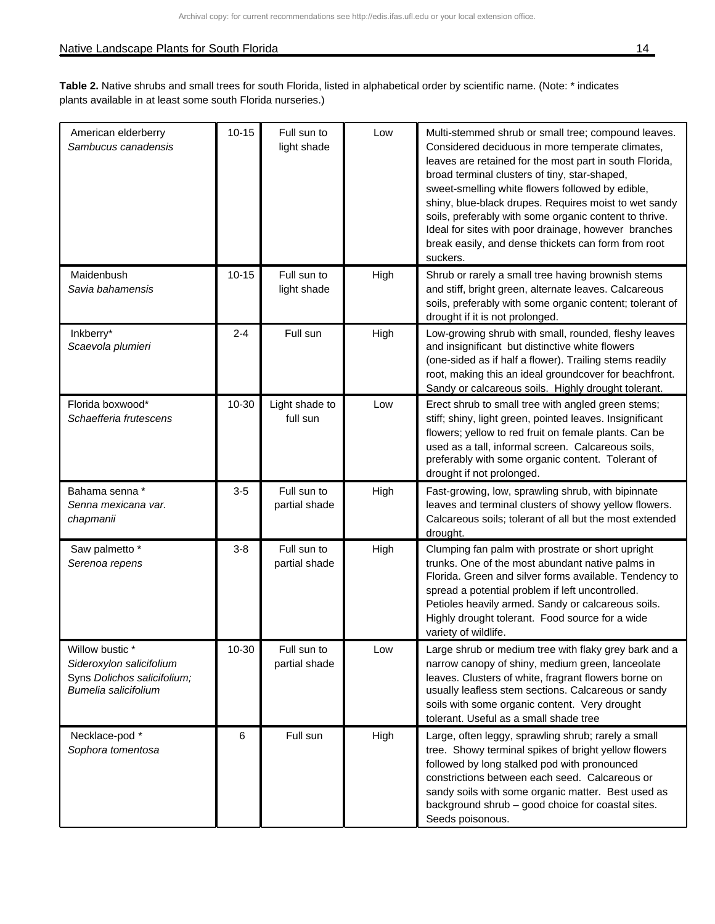| American elderberry<br>Sambucus canadensis                                                         | $10 - 15$ | Full sun to<br>light shade   | Low  | Multi-stemmed shrub or small tree; compound leaves.<br>Considered deciduous in more temperate climates,<br>leaves are retained for the most part in south Florida,<br>broad terminal clusters of tiny, star-shaped,<br>sweet-smelling white flowers followed by edible,<br>shiny, blue-black drupes. Requires moist to wet sandy<br>soils, preferably with some organic content to thrive.<br>Ideal for sites with poor drainage, however branches<br>break easily, and dense thickets can form from root<br>suckers. |
|----------------------------------------------------------------------------------------------------|-----------|------------------------------|------|-----------------------------------------------------------------------------------------------------------------------------------------------------------------------------------------------------------------------------------------------------------------------------------------------------------------------------------------------------------------------------------------------------------------------------------------------------------------------------------------------------------------------|
| Maidenbush<br>Savia bahamensis                                                                     | $10 - 15$ | Full sun to<br>light shade   | High | Shrub or rarely a small tree having brownish stems<br>and stiff, bright green, alternate leaves. Calcareous<br>soils, preferably with some organic content; tolerant of<br>drought if it is not prolonged.                                                                                                                                                                                                                                                                                                            |
| Inkberry*<br>Scaevola plumieri                                                                     | $2 - 4$   | Full sun                     | High | Low-growing shrub with small, rounded, fleshy leaves<br>and insignificant but distinctive white flowers<br>(one-sided as if half a flower). Trailing stems readily<br>root, making this an ideal groundcover for beachfront.<br>Sandy or calcareous soils. Highly drought tolerant.                                                                                                                                                                                                                                   |
| Florida boxwood*<br>Schaefferia frutescens                                                         | 10-30     | Light shade to<br>full sun   | Low  | Erect shrub to small tree with angled green stems;<br>stiff; shiny, light green, pointed leaves. Insignificant<br>flowers; yellow to red fruit on female plants. Can be<br>used as a tall, informal screen. Calcareous soils,<br>preferably with some organic content. Tolerant of<br>drought if not prolonged.                                                                                                                                                                                                       |
| Bahama senna *<br>Senna mexicana var.<br>chapmanii                                                 | $3-5$     | Full sun to<br>partial shade | High | Fast-growing, low, sprawling shrub, with bipinnate<br>leaves and terminal clusters of showy yellow flowers.<br>Calcareous soils; tolerant of all but the most extended<br>drought.                                                                                                                                                                                                                                                                                                                                    |
| Saw palmetto *<br>Serenoa repens                                                                   | $3-8$     | Full sun to<br>partial shade | High | Clumping fan palm with prostrate or short upright<br>trunks. One of the most abundant native palms in<br>Florida. Green and silver forms available. Tendency to<br>spread a potential problem if left uncontrolled.<br>Petioles heavily armed. Sandy or calcareous soils.<br>Highly drought tolerant. Food source for a wide<br>variety of wildlife.                                                                                                                                                                  |
| Willow bustic *<br>Sideroxylon salicifolium<br>Syns Dolichos salicifolium;<br>Bumelia salicifolium | 10-30     | Full sun to<br>partial shade | Low  | Large shrub or medium tree with flaky grey bark and a<br>narrow canopy of shiny, medium green, lanceolate<br>leaves. Clusters of white, fragrant flowers borne on<br>usually leafless stem sections. Calcareous or sandy<br>soils with some organic content. Very drought<br>tolerant. Useful as a small shade tree                                                                                                                                                                                                   |
| Necklace-pod *<br>Sophora tomentosa                                                                | 6         | Full sun                     | High | Large, often leggy, sprawling shrub; rarely a small<br>tree. Showy terminal spikes of bright yellow flowers<br>followed by long stalked pod with pronounced<br>constrictions between each seed. Calcareous or<br>sandy soils with some organic matter. Best used as<br>background shrub - good choice for coastal sites.<br>Seeds poisonous.                                                                                                                                                                          |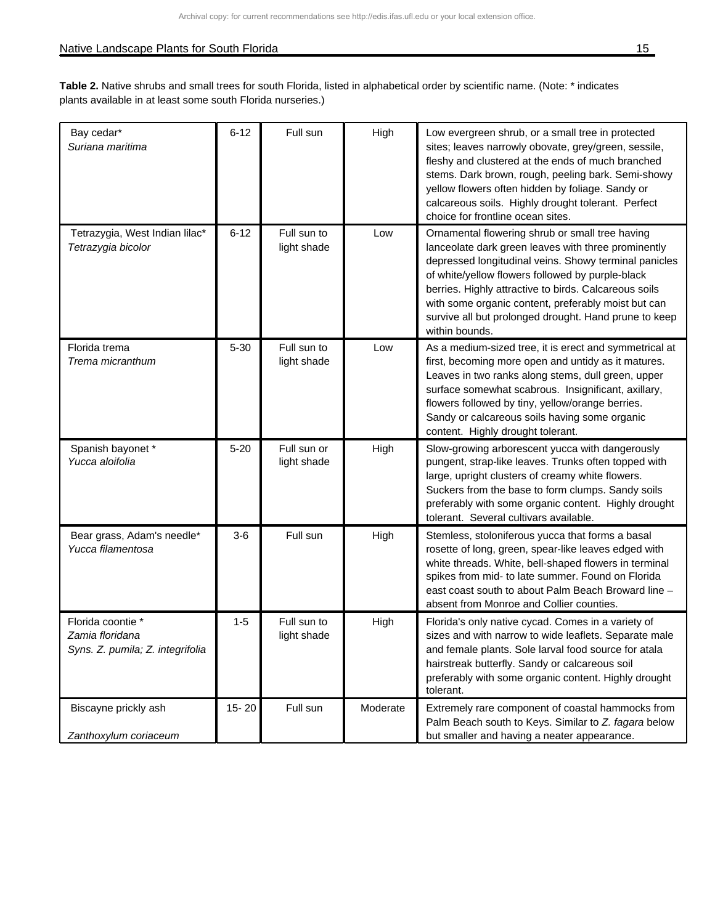| Bay cedar*<br>Suriana maritima                                           | $6 - 12$  | Full sun                   | High     | Low evergreen shrub, or a small tree in protected<br>sites; leaves narrowly obovate, grey/green, sessile,<br>fleshy and clustered at the ends of much branched<br>stems. Dark brown, rough, peeling bark. Semi-showy<br>yellow flowers often hidden by foliage. Sandy or<br>calcareous soils. Highly drought tolerant. Perfect<br>choice for frontline ocean sites.                                            |
|--------------------------------------------------------------------------|-----------|----------------------------|----------|----------------------------------------------------------------------------------------------------------------------------------------------------------------------------------------------------------------------------------------------------------------------------------------------------------------------------------------------------------------------------------------------------------------|
| Tetrazygia, West Indian lilac*<br>Tetrazygia bicolor                     | $6 - 12$  | Full sun to<br>light shade | Low      | Ornamental flowering shrub or small tree having<br>lanceolate dark green leaves with three prominently<br>depressed longitudinal veins. Showy terminal panicles<br>of white/yellow flowers followed by purple-black<br>berries. Highly attractive to birds. Calcareous soils<br>with some organic content, preferably moist but can<br>survive all but prolonged drought. Hand prune to keep<br>within bounds. |
| Florida trema<br>Trema micranthum                                        | $5 - 30$  | Full sun to<br>light shade | Low      | As a medium-sized tree, it is erect and symmetrical at<br>first, becoming more open and untidy as it matures.<br>Leaves in two ranks along stems, dull green, upper<br>surface somewhat scabrous. Insignificant, axillary,<br>flowers followed by tiny, yellow/orange berries.<br>Sandy or calcareous soils having some organic<br>content. Highly drought tolerant.                                           |
| Spanish bayonet *<br>Yucca aloifolia                                     | $5 - 20$  | Full sun or<br>light shade | High     | Slow-growing arborescent yucca with dangerously<br>pungent, strap-like leaves. Trunks often topped with<br>large, upright clusters of creamy white flowers.<br>Suckers from the base to form clumps. Sandy soils<br>preferably with some organic content. Highly drought<br>tolerant. Several cultivars available.                                                                                             |
| Bear grass, Adam's needle*<br>Yucca filamentosa                          | $3-6$     | Full sun                   | High     | Stemless, stoloniferous yucca that forms a basal<br>rosette of long, green, spear-like leaves edged with<br>white threads. White, bell-shaped flowers in terminal<br>spikes from mid- to late summer. Found on Florida<br>east coast south to about Palm Beach Broward line -<br>absent from Monroe and Collier counties.                                                                                      |
| Florida coontie *<br>Zamia floridana<br>Syns. Z. pumila; Z. integrifolia | $1 - 5$   | Full sun to<br>light shade | High     | Florida's only native cycad. Comes in a variety of<br>sizes and with narrow to wide leaflets. Separate male<br>and female plants. Sole larval food source for atala<br>hairstreak butterfly. Sandy or calcareous soil<br>preferably with some organic content. Highly drought<br>tolerant.                                                                                                                     |
| Biscayne prickly ash<br>Zanthoxylum coriaceum                            | $15 - 20$ | Full sun                   | Moderate | Extremely rare component of coastal hammocks from<br>Palm Beach south to Keys. Similar to Z. fagara below<br>but smaller and having a neater appearance.                                                                                                                                                                                                                                                       |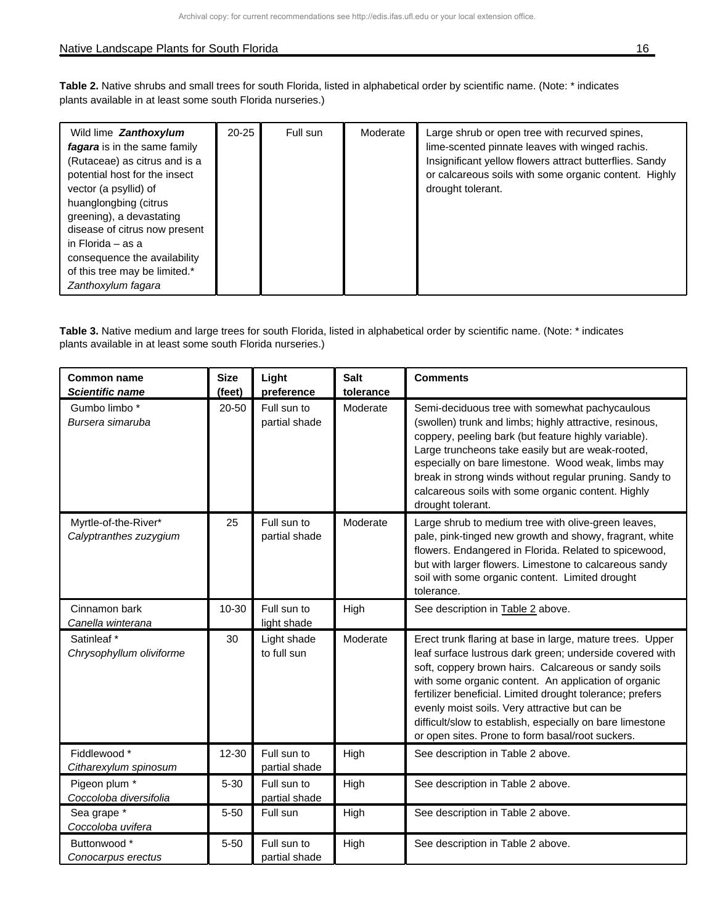#### Native Landscape Plants for South Florida 16 and 2008 16 and 2008 16 and 2008 16 and 2008 16 and 2008 16 and 20

**Table 2.** Native shrubs and small trees for south Florida, listed in alphabetical order by scientific name. (Note: \* indicates plants available in at least some south Florida nurseries.)

| Wild lime <b>Zanthoxylum</b><br>fagara is in the same family<br>(Rutaceae) as citrus and is a<br>potential host for the insect<br>vector (a psyllid) of<br>huanglongbing (citrus<br>greening), a devastating<br>disease of citrus now present<br>in Florida – as a<br>consequence the availability<br>of this tree may be limited.*<br>Zanthoxylum fagara | $20 - 25$ | Full sun | Moderate | Large shrub or open tree with recurved spines,<br>lime-scented pinnate leaves with winged rachis.<br>Insignificant yellow flowers attract butterflies. Sandy<br>or calcareous soils with some organic content. Highly<br>drought tolerant. |
|-----------------------------------------------------------------------------------------------------------------------------------------------------------------------------------------------------------------------------------------------------------------------------------------------------------------------------------------------------------|-----------|----------|----------|--------------------------------------------------------------------------------------------------------------------------------------------------------------------------------------------------------------------------------------------|
|-----------------------------------------------------------------------------------------------------------------------------------------------------------------------------------------------------------------------------------------------------------------------------------------------------------------------------------------------------------|-----------|----------|----------|--------------------------------------------------------------------------------------------------------------------------------------------------------------------------------------------------------------------------------------------|

| <b>Common name</b><br><b>Scientific name</b>   | <b>Size</b><br>(feet) | Light<br>preference          | <b>Salt</b><br>tolerance | <b>Comments</b>                                                                                                                                                                                                                                                                                                                                                                                                                                                       |
|------------------------------------------------|-----------------------|------------------------------|--------------------------|-----------------------------------------------------------------------------------------------------------------------------------------------------------------------------------------------------------------------------------------------------------------------------------------------------------------------------------------------------------------------------------------------------------------------------------------------------------------------|
| Gumbo limbo *<br>Bursera simaruba              | 20-50                 | Full sun to<br>partial shade | Moderate                 | Semi-deciduous tree with somewhat pachycaulous<br>(swollen) trunk and limbs; highly attractive, resinous,<br>coppery, peeling bark (but feature highly variable).<br>Large truncheons take easily but are weak-rooted,<br>especially on bare limestone. Wood weak, limbs may<br>break in strong winds without regular pruning. Sandy to<br>calcareous soils with some organic content. Highly<br>drought tolerant.                                                    |
| Myrtle-of-the-River*<br>Calyptranthes zuzygium | 25                    | Full sun to<br>partial shade | Moderate                 | Large shrub to medium tree with olive-green leaves,<br>pale, pink-tinged new growth and showy, fragrant, white<br>flowers. Endangered in Florida. Related to spicewood,<br>but with larger flowers. Limestone to calcareous sandy<br>soil with some organic content. Limited drought<br>tolerance.                                                                                                                                                                    |
| Cinnamon bark<br>Canella winterana             | 10-30                 | Full sun to<br>light shade   | High                     | See description in Table 2 above.                                                                                                                                                                                                                                                                                                                                                                                                                                     |
| Satinleaf*<br>Chrysophyllum oliviforme         | 30                    | Light shade<br>to full sun   | Moderate                 | Erect trunk flaring at base in large, mature trees. Upper<br>leaf surface lustrous dark green; underside covered with<br>soft, coppery brown hairs. Calcareous or sandy soils<br>with some organic content. An application of organic<br>fertilizer beneficial. Limited drought tolerance; prefers<br>evenly moist soils. Very attractive but can be<br>difficult/slow to establish, especially on bare limestone<br>or open sites. Prone to form basal/root suckers. |
| Fiddlewood *<br>Citharexylum spinosum          | 12-30                 | Full sun to<br>partial shade | High                     | See description in Table 2 above.                                                                                                                                                                                                                                                                                                                                                                                                                                     |
| Pigeon plum *<br>Coccoloba diversifolia        | $5 - 30$              | Full sun to<br>partial shade | High                     | See description in Table 2 above.                                                                                                                                                                                                                                                                                                                                                                                                                                     |
| Sea grape *<br>Coccoloba uvifera               | $5 - 50$              | Full sun                     | High                     | See description in Table 2 above.                                                                                                                                                                                                                                                                                                                                                                                                                                     |
| Buttonwood *<br>Conocarpus erectus             | $5 - 50$              | Full sun to<br>partial shade | High                     | See description in Table 2 above.                                                                                                                                                                                                                                                                                                                                                                                                                                     |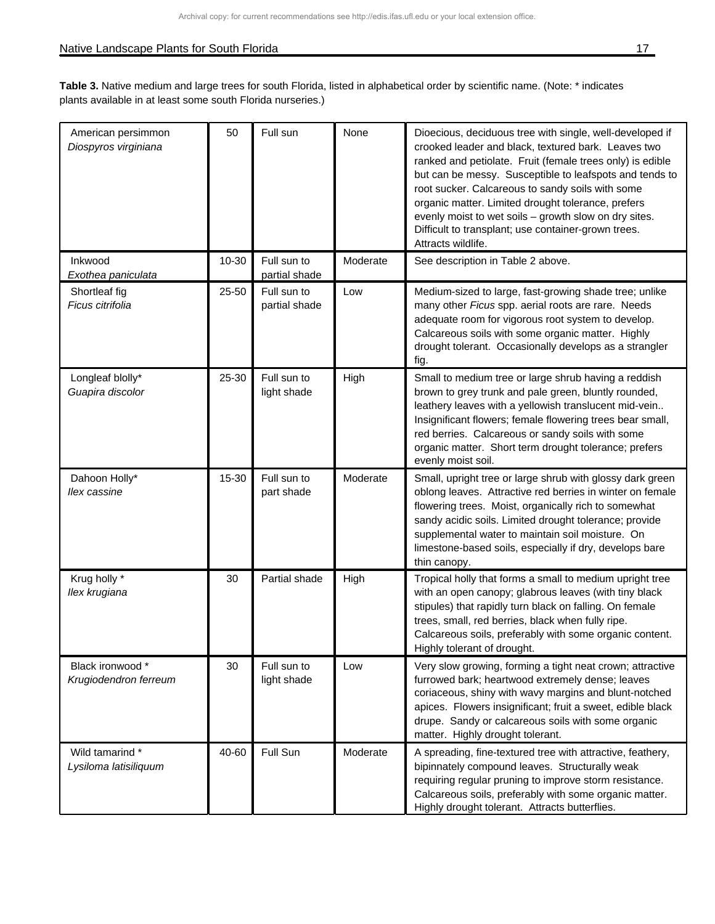## Native Landscape Plants for South Florida 17 and 2012 17 and 2012 17 and 2012 17 and 2012 17 and 2012 17 and 20

| American persimmon<br>Diospyros virginiana | 50    | Full sun                     | None     | Dioecious, deciduous tree with single, well-developed if<br>crooked leader and black, textured bark. Leaves two<br>ranked and petiolate. Fruit (female trees only) is edible<br>but can be messy. Susceptible to leafspots and tends to<br>root sucker. Calcareous to sandy soils with some<br>organic matter. Limited drought tolerance, prefers<br>evenly moist to wet soils - growth slow on dry sites.<br>Difficult to transplant; use container-grown trees.<br>Attracts wildlife. |
|--------------------------------------------|-------|------------------------------|----------|-----------------------------------------------------------------------------------------------------------------------------------------------------------------------------------------------------------------------------------------------------------------------------------------------------------------------------------------------------------------------------------------------------------------------------------------------------------------------------------------|
| Inkwood<br>Exothea paniculata              | 10-30 | Full sun to<br>partial shade | Moderate | See description in Table 2 above.                                                                                                                                                                                                                                                                                                                                                                                                                                                       |
| Shortleaf fig<br>Ficus citrifolia          | 25-50 | Full sun to<br>partial shade | Low      | Medium-sized to large, fast-growing shade tree; unlike<br>many other Ficus spp. aerial roots are rare. Needs<br>adequate room for vigorous root system to develop.<br>Calcareous soils with some organic matter. Highly<br>drought tolerant. Occasionally develops as a strangler<br>fig.                                                                                                                                                                                               |
| Longleaf blolly*<br>Guapira discolor       | 25-30 | Full sun to<br>light shade   | High     | Small to medium tree or large shrub having a reddish<br>brown to grey trunk and pale green, bluntly rounded,<br>leathery leaves with a yellowish translucent mid-vein<br>Insignificant flowers; female flowering trees bear small,<br>red berries. Calcareous or sandy soils with some<br>organic matter. Short term drought tolerance; prefers<br>evenly moist soil.                                                                                                                   |
| Dahoon Holly*<br>llex cassine              | 15-30 | Full sun to<br>part shade    | Moderate | Small, upright tree or large shrub with glossy dark green<br>oblong leaves. Attractive red berries in winter on female<br>flowering trees. Moist, organically rich to somewhat<br>sandy acidic soils. Limited drought tolerance; provide<br>supplemental water to maintain soil moisture. On<br>limestone-based soils, especially if dry, develops bare<br>thin canopy.                                                                                                                 |
| Krug holly *<br>Ilex krugiana              | 30    | Partial shade                | High     | Tropical holly that forms a small to medium upright tree<br>with an open canopy; glabrous leaves (with tiny black<br>stipules) that rapidly turn black on falling. On female<br>trees, small, red berries, black when fully ripe.<br>Calcareous soils, preferably with some organic content.<br>Highly tolerant of drought.                                                                                                                                                             |
| Black ironwood *<br>Krugiodendron ferreum  | 30    | Full sun to<br>light shade   | Low      | Very slow growing, forming a tight neat crown; attractive<br>furrowed bark; heartwood extremely dense; leaves<br>coriaceous, shiny with wavy margins and blunt-notched<br>apices. Flowers insignificant; fruit a sweet, edible black<br>drupe. Sandy or calcareous soils with some organic<br>matter. Highly drought tolerant.                                                                                                                                                          |
| Wild tamarind *<br>Lysiloma latisiliquum   | 40-60 | Full Sun                     | Moderate | A spreading, fine-textured tree with attractive, feathery,<br>bipinnately compound leaves. Structurally weak<br>requiring regular pruning to improve storm resistance.<br>Calcareous soils, preferably with some organic matter.<br>Highly drought tolerant. Attracts butterflies.                                                                                                                                                                                                      |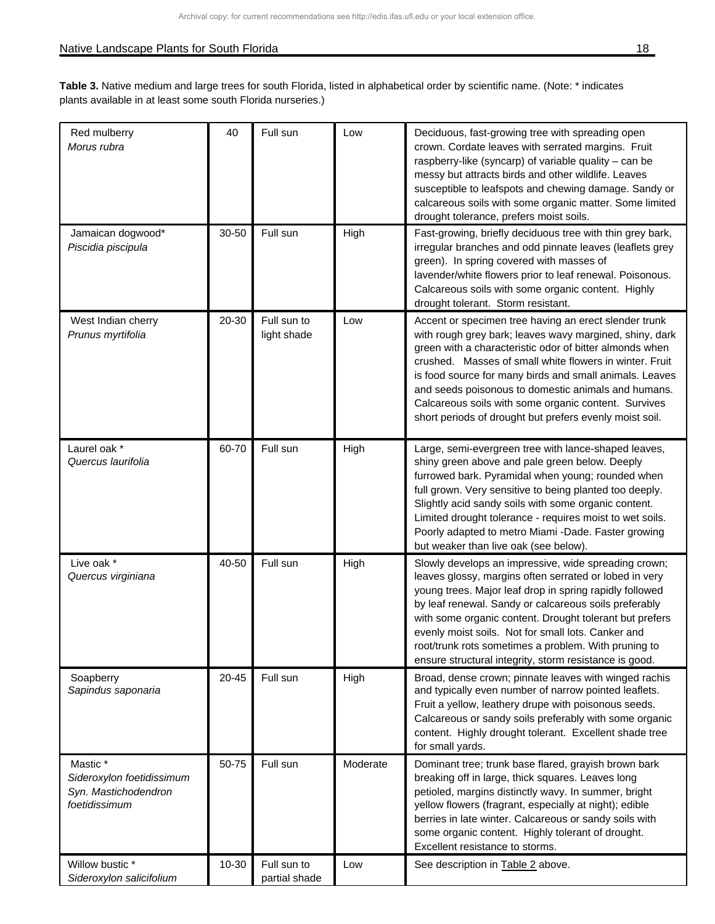| Red mulberry<br>Morus rubra                                                    | 40        | Full sun                     | Low      | Deciduous, fast-growing tree with spreading open<br>crown. Cordate leaves with serrated margins. Fruit<br>raspberry-like (syncarp) of variable quality - can be<br>messy but attracts birds and other wildlife. Leaves<br>susceptible to leafspots and chewing damage. Sandy or<br>calcareous soils with some organic matter. Some limited<br>drought tolerance, prefers moist soils.                                                                                       |
|--------------------------------------------------------------------------------|-----------|------------------------------|----------|-----------------------------------------------------------------------------------------------------------------------------------------------------------------------------------------------------------------------------------------------------------------------------------------------------------------------------------------------------------------------------------------------------------------------------------------------------------------------------|
| Jamaican dogwood*<br>Piscidia piscipula                                        | 30-50     | Full sun                     | High     | Fast-growing, briefly deciduous tree with thin grey bark,<br>irregular branches and odd pinnate leaves (leaflets grey<br>green). In spring covered with masses of<br>lavender/white flowers prior to leaf renewal. Poisonous.<br>Calcareous soils with some organic content. Highly<br>drought tolerant. Storm resistant.                                                                                                                                                   |
| West Indian cherry<br>Prunus myrtifolia                                        | 20-30     | Full sun to<br>light shade   | Low      | Accent or specimen tree having an erect slender trunk<br>with rough grey bark; leaves wavy margined, shiny, dark<br>green with a characteristic odor of bitter almonds when<br>crushed. Masses of small white flowers in winter. Fruit<br>is food source for many birds and small animals. Leaves<br>and seeds poisonous to domestic animals and humans.<br>Calcareous soils with some organic content. Survives<br>short periods of drought but prefers evenly moist soil. |
| Laurel oak *<br>Quercus laurifolia                                             | 60-70     | Full sun                     | High     | Large, semi-evergreen tree with lance-shaped leaves,<br>shiny green above and pale green below. Deeply<br>furrowed bark. Pyramidal when young; rounded when<br>full grown. Very sensitive to being planted too deeply.<br>Slightly acid sandy soils with some organic content.<br>Limited drought tolerance - requires moist to wet soils.<br>Poorly adapted to metro Miami -Dade. Faster growing<br>but weaker than live oak (see below).                                  |
| Live oak *<br>Quercus virginiana                                               | 40-50     | Full sun                     | High     | Slowly develops an impressive, wide spreading crown;<br>leaves glossy, margins often serrated or lobed in very<br>young trees. Major leaf drop in spring rapidly followed<br>by leaf renewal. Sandy or calcareous soils preferably<br>with some organic content. Drought tolerant but prefers<br>evenly moist soils. Not for small lots. Canker and<br>root/trunk rots sometimes a problem. With pruning to<br>ensure structural integrity, storm resistance is good.       |
| Soapberry<br>Sapindus saponaria                                                | $20 - 45$ | Full sun                     | High     | Broad, dense crown; pinnate leaves with winged rachis<br>and typically even number of narrow pointed leaflets.<br>Fruit a yellow, leathery drupe with poisonous seeds.<br>Calcareous or sandy soils preferably with some organic<br>content. Highly drought tolerant. Excellent shade tree<br>for small yards.                                                                                                                                                              |
| Mastic *<br>Sideroxylon foetidissimum<br>Syn. Mastichodendron<br>foetidissimum | 50-75     | Full sun                     | Moderate | Dominant tree; trunk base flared, grayish brown bark<br>breaking off in large, thick squares. Leaves long<br>petioled, margins distinctly wavy. In summer, bright<br>yellow flowers (fragrant, especially at night); edible<br>berries in late winter. Calcareous or sandy soils with<br>some organic content. Highly tolerant of drought.<br>Excellent resistance to storms.                                                                                               |
| Willow bustic *<br>Sideroxylon salicifolium                                    | 10-30     | Full sun to<br>partial shade | Low      | See description in Table 2 above.                                                                                                                                                                                                                                                                                                                                                                                                                                           |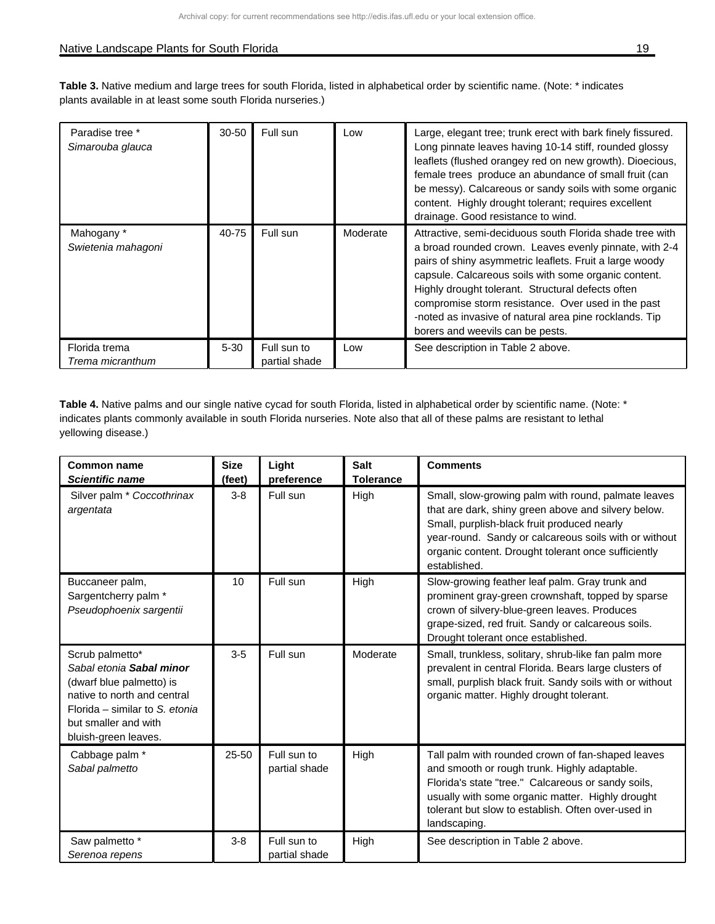#### Native Landscape Plants for South Florida 19 and 2008 19 and 2008 19 and 2008 19 and 2008 19 and 2008 19 and 20

**Table 3.** Native medium and large trees for south Florida, listed in alphabetical order by scientific name. (Note: \* indicates plants available in at least some south Florida nurseries.)

| Paradise tree *<br>Simarouba glauca | $30 - 50$ | Full sun                     | Low      | Large, elegant tree; trunk erect with bark finely fissured.<br>Long pinnate leaves having 10-14 stiff, rounded glossy<br>leaflets (flushed orangey red on new growth). Dioecious,<br>female trees produce an abundance of small fruit (can<br>be messy). Calcareous or sandy soils with some organic<br>content. Highly drought tolerant; requires excellent<br>drainage. Good resistance to wind.                                             |
|-------------------------------------|-----------|------------------------------|----------|------------------------------------------------------------------------------------------------------------------------------------------------------------------------------------------------------------------------------------------------------------------------------------------------------------------------------------------------------------------------------------------------------------------------------------------------|
| Mahogany *<br>Swietenia mahagoni    | 40-75     | Full sun                     | Moderate | Attractive, semi-deciduous south Florida shade tree with<br>a broad rounded crown. Leaves evenly pinnate, with 2-4<br>pairs of shiny asymmetric leaflets. Fruit a large woody<br>capsule. Calcareous soils with some organic content.<br>Highly drought tolerant. Structural defects often<br>compromise storm resistance. Over used in the past<br>-noted as invasive of natural area pine rocklands. Tip<br>borers and weevils can be pests. |
| Florida trema<br>Trema micranthum   | $5 - 30$  | Full sun to<br>partial shade | Low      | See description in Table 2 above.                                                                                                                                                                                                                                                                                                                                                                                                              |

**Table 4.** Native palms and our single native cycad for south Florida, listed in alphabetical order by scientific name. (Note: \* indicates plants commonly available in south Florida nurseries. Note also that all of these palms are resistant to lethal yellowing disease.)

| <b>Common name</b><br><b>Scientific name</b>                                                                                                                                             | <b>Size</b><br>(feet) | Light<br>preference          | <b>Salt</b><br><b>Tolerance</b> | <b>Comments</b>                                                                                                                                                                                                                                                                           |
|------------------------------------------------------------------------------------------------------------------------------------------------------------------------------------------|-----------------------|------------------------------|---------------------------------|-------------------------------------------------------------------------------------------------------------------------------------------------------------------------------------------------------------------------------------------------------------------------------------------|
| Silver palm * Coccothrinax<br>argentata                                                                                                                                                  | $3 - 8$               | Full sun                     | High                            | Small, slow-growing palm with round, palmate leaves<br>that are dark, shiny green above and silvery below.<br>Small, purplish-black fruit produced nearly<br>year-round. Sandy or calcareous soils with or without<br>organic content. Drought tolerant once sufficiently<br>established. |
| Buccaneer palm,<br>Sargentcherry palm *<br>Pseudophoenix sargentii                                                                                                                       | 10                    | Full sun                     | High                            | Slow-growing feather leaf palm. Gray trunk and<br>prominent gray-green crownshaft, topped by sparse<br>crown of silvery-blue-green leaves. Produces<br>grape-sized, red fruit. Sandy or calcareous soils.<br>Drought tolerant once established.                                           |
| Scrub palmetto*<br>Sabal etonia Sabal minor<br>(dwarf blue palmetto) is<br>native to north and central<br>Florida - similar to S. etonia<br>but smaller and with<br>bluish-green leaves. | $3-5$                 | Full sun                     | Moderate                        | Small, trunkless, solitary, shrub-like fan palm more<br>prevalent in central Florida. Bears large clusters of<br>small, purplish black fruit. Sandy soils with or without<br>organic matter. Highly drought tolerant.                                                                     |
| Cabbage palm *<br>Sabal palmetto                                                                                                                                                         | $25 - 50$             | Full sun to<br>partial shade | High                            | Tall palm with rounded crown of fan-shaped leaves<br>and smooth or rough trunk. Highly adaptable.<br>Florida's state "tree." Calcareous or sandy soils,<br>usually with some organic matter. Highly drought<br>tolerant but slow to establish. Often over-used in<br>landscaping.         |
| Saw palmetto *<br>Serenoa repens                                                                                                                                                         | $3 - 8$               | Full sun to<br>partial shade | High                            | See description in Table 2 above.                                                                                                                                                                                                                                                         |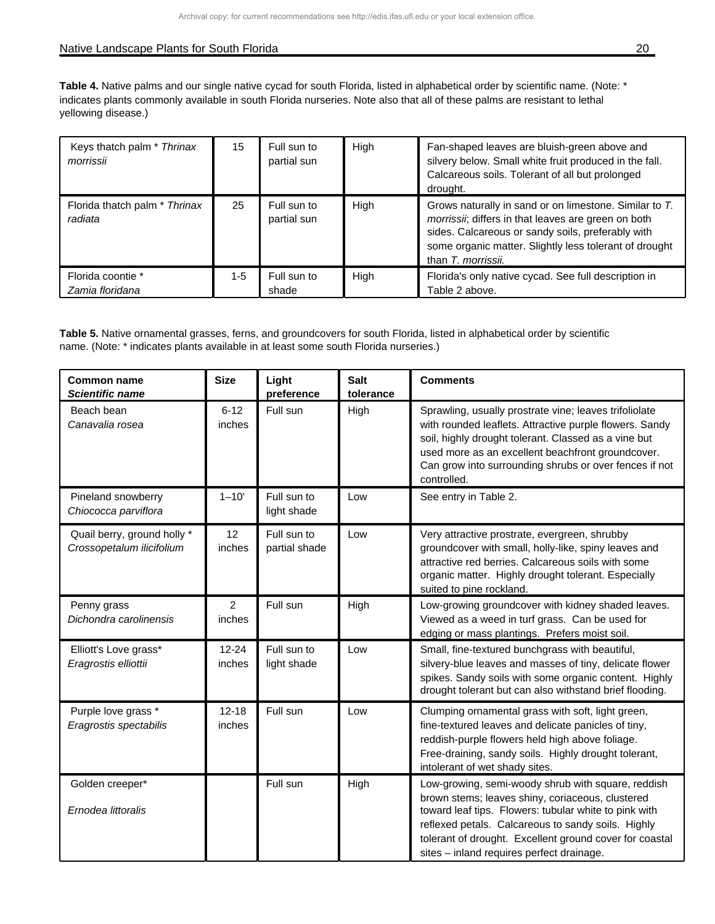#### Native Landscape Plants for South Florida 20 and 20 and 20 and 20 and 20 and 20 and 20 and 20 and 20 and 20 and 20 and 20 and 20 and 20 and 20 and 20 and 20 and 20 and 20 and 20 and 20 and 20 and 20 and 20 and 20 and 20 an

Table 4. Native palms and our single native cycad for south Florida, listed in alphabetical order by scientific name. (Note: \* indicates plants commonly available in south Florida nurseries. Note also that all of these palms are resistant to lethal yellowing disease.)

| Keys thatch palm * Thrinax<br>morrissii  | 15    | Full sun to<br>partial sun | High | Fan-shaped leaves are bluish-green above and<br>silvery below. Small white fruit produced in the fall.<br>Calcareous soils. Tolerant of all but prolonged<br>drought.                                                                              |
|------------------------------------------|-------|----------------------------|------|----------------------------------------------------------------------------------------------------------------------------------------------------------------------------------------------------------------------------------------------------|
| Florida thatch palm * Thrinax<br>radiata | 25    | Full sun to<br>partial sun | High | Grows naturally in sand or on limestone. Similar to T.<br>morrissii; differs in that leaves are green on both<br>sides. Calcareous or sandy soils, preferably with<br>some organic matter. Slightly less tolerant of drought<br>than T. morrissii. |
| Florida coontie *<br>Zamia floridana     | $1-5$ | Full sun to<br>shade       | High | Florida's only native cycad. See full description in<br>Table 2 above.                                                                                                                                                                             |

**Table 5.** Native ornamental grasses, ferns, and groundcovers for south Florida, listed in alphabetical order by scientific name. (Note: \* indicates plants available in at least some south Florida nurseries.)

| <b>Common name</b><br><b>Scientific name</b>             | <b>Size</b>         | Light<br>preference          | <b>Salt</b><br>tolerance | <b>Comments</b>                                                                                                                                                                                                                                                                                                               |
|----------------------------------------------------------|---------------------|------------------------------|--------------------------|-------------------------------------------------------------------------------------------------------------------------------------------------------------------------------------------------------------------------------------------------------------------------------------------------------------------------------|
| Beach bean<br>Canavalia rosea                            | $6 - 12$<br>inches  | Full sun                     | High                     | Sprawling, usually prostrate vine; leaves trifoliolate<br>with rounded leaflets. Attractive purple flowers. Sandy<br>soil, highly drought tolerant. Classed as a vine but<br>used more as an excellent beachfront groundcover.<br>Can grow into surrounding shrubs or over fences if not<br>controlled.                       |
| Pineland snowberry<br>Chiococca parviflora               | $1 - 10'$           | Full sun to<br>light shade   | Low                      | See entry in Table 2.                                                                                                                                                                                                                                                                                                         |
| Quail berry, ground holly *<br>Crossopetalum ilicifolium | 12<br>inches        | Full sun to<br>partial shade | Low                      | Very attractive prostrate, evergreen, shrubby<br>groundcover with small, holly-like, spiny leaves and<br>attractive red berries. Calcareous soils with some<br>organic matter. Highly drought tolerant. Especially<br>suited to pine rockland.                                                                                |
| Penny grass<br>Dichondra carolinensis                    | 2<br>inches         | Full sun                     | High                     | Low-growing groundcover with kidney shaded leaves.<br>Viewed as a weed in turf grass. Can be used for<br>edging or mass plantings. Prefers moist soil.                                                                                                                                                                        |
| Elliott's Love grass*<br>Eragrostis elliottii            | $12 - 24$<br>inches | Full sun to<br>light shade   | Low                      | Small, fine-textured bunchgrass with beautiful,<br>silvery-blue leaves and masses of tiny, delicate flower<br>spikes. Sandy soils with some organic content. Highly<br>drought tolerant but can also withstand brief flooding.                                                                                                |
| Purple love grass *<br>Eragrostis spectabilis            | $12 - 18$<br>inches | Full sun                     | Low                      | Clumping ornamental grass with soft, light green,<br>fine-textured leaves and delicate panicles of tiny,<br>reddish-purple flowers held high above foliage.<br>Free-draining, sandy soils. Highly drought tolerant,<br>intolerant of wet shady sites.                                                                         |
| Golden creeper*<br>Ernodea littoralis                    |                     | Full sun                     | High                     | Low-growing, semi-woody shrub with square, reddish<br>brown stems; leaves shiny, coriaceous, clustered<br>toward leaf tips. Flowers: tubular white to pink with<br>reflexed petals. Calcareous to sandy soils. Highly<br>tolerant of drought. Excellent ground cover for coastal<br>sites - inland requires perfect drainage. |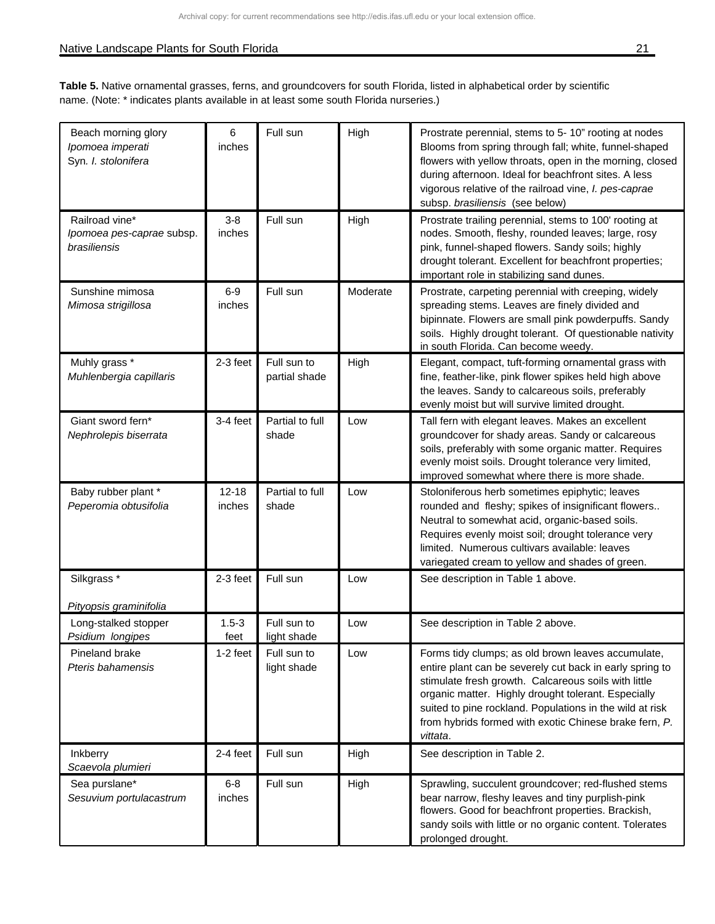### Native Landscape Plants for South Florida 21 and 21 and 21 and 21 and 21 and 21 and 22 and 22 and 21 and 21 and 21 and 21 and 21 and 21 and 22 and 22 and 22 and 22 and 22 and 22 and 22 and 22 and 22 and 22 and 22 and 22 an

| Beach morning glory<br>Ipomoea imperati<br>Syn. I. stolonifera | 6<br>inches         | Full sun                     | High     | Prostrate perennial, stems to 5-10" rooting at nodes<br>Blooms from spring through fall; white, funnel-shaped<br>flowers with yellow throats, open in the morning, closed<br>during afternoon. Ideal for beachfront sites. A less<br>vigorous relative of the railroad vine, I. pes-caprae<br>subsp. brasiliensis (see below)                                   |
|----------------------------------------------------------------|---------------------|------------------------------|----------|-----------------------------------------------------------------------------------------------------------------------------------------------------------------------------------------------------------------------------------------------------------------------------------------------------------------------------------------------------------------|
| Railroad vine*<br>Ipomoea pes-caprae subsp.<br>brasiliensis    | $3-8$<br>inches     | Full sun                     | High     | Prostrate trailing perennial, stems to 100' rooting at<br>nodes. Smooth, fleshy, rounded leaves; large, rosy<br>pink, funnel-shaped flowers. Sandy soils; highly<br>drought tolerant. Excellent for beachfront properties;<br>important role in stabilizing sand dunes.                                                                                         |
| Sunshine mimosa<br>Mimosa strigillosa                          | $6-9$<br>inches     | Full sun                     | Moderate | Prostrate, carpeting perennial with creeping, widely<br>spreading stems. Leaves are finely divided and<br>bipinnate. Flowers are small pink powderpuffs. Sandy<br>soils. Highly drought tolerant. Of questionable nativity<br>in south Florida. Can become weedy.                                                                                               |
| Muhly grass *<br>Muhlenbergia capillaris                       | $2-3$ feet          | Full sun to<br>partial shade | High     | Elegant, compact, tuft-forming ornamental grass with<br>fine, feather-like, pink flower spikes held high above<br>the leaves. Sandy to calcareous soils, preferably<br>evenly moist but will survive limited drought.                                                                                                                                           |
| Giant sword fern*<br>Nephrolepis biserrata                     | $3-4$ feet          | Partial to full<br>shade     | Low      | Tall fern with elegant leaves. Makes an excellent<br>groundcover for shady areas. Sandy or calcareous<br>soils, preferably with some organic matter. Requires<br>evenly moist soils. Drought tolerance very limited,<br>improved somewhat where there is more shade.                                                                                            |
| Baby rubber plant *<br>Peperomia obtusifolia                   | $12 - 18$<br>inches | Partial to full<br>shade     | Low      | Stoloniferous herb sometimes epiphytic; leaves<br>rounded and fleshy; spikes of insignificant flowers<br>Neutral to somewhat acid, organic-based soils.<br>Requires evenly moist soil; drought tolerance very<br>limited. Numerous cultivars available: leaves<br>variegated cream to yellow and shades of green.                                               |
| Silkgrass <sup>*</sup><br>Pityopsis graminifolia               | $2-3$ feet          | Full sun                     | Low      | See description in Table 1 above.                                                                                                                                                                                                                                                                                                                               |
| Long-stalked stopper<br>Psidium longipes                       | $1.5 - 3$<br>feet   | Full sun to<br>light shade   | Low      | See description in Table 2 above.                                                                                                                                                                                                                                                                                                                               |
| Pineland brake<br>Pteris bahamensis                            | $1-2$ feet          | Full sun to<br>light shade   | Low      | Forms tidy clumps; as old brown leaves accumulate,<br>entire plant can be severely cut back in early spring to<br>stimulate fresh growth. Calcareous soils with little<br>organic matter. Highly drought tolerant. Especially<br>suited to pine rockland. Populations in the wild at risk<br>from hybrids formed with exotic Chinese brake fern, P.<br>vittata. |
| Inkberry<br>Scaevola plumieri                                  | 2-4 feet            | Full sun                     | High     | See description in Table 2.                                                                                                                                                                                                                                                                                                                                     |
| Sea purslane*<br>Sesuvium portulacastrum                       | $6-8$<br>inches     | Full sun                     | High     | Sprawling, succulent groundcover; red-flushed stems<br>bear narrow, fleshy leaves and tiny purplish-pink<br>flowers. Good for beachfront properties. Brackish,<br>sandy soils with little or no organic content. Tolerates<br>prolonged drought.                                                                                                                |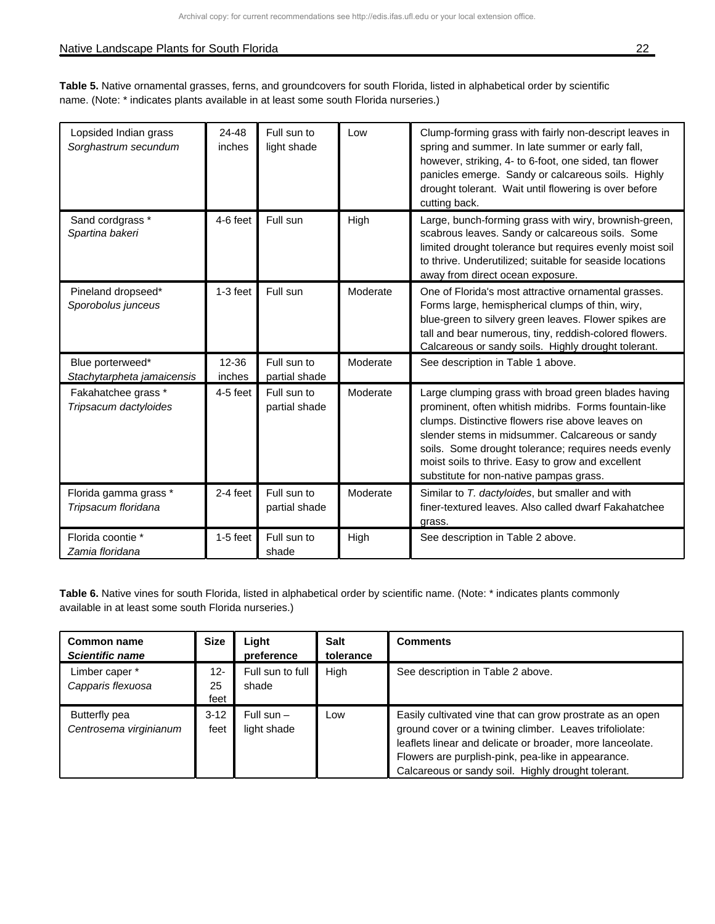**Table 5.** Native ornamental grasses, ferns, and groundcovers for south Florida, listed in alphabetical order by scientific name. (Note: \* indicates plants available in at least some south Florida nurseries.)

| Lopsided Indian grass<br>Sorghastrum secundum  | 24-48<br>inches | Full sun to<br>light shade   | Low      | Clump-forming grass with fairly non-descript leaves in<br>spring and summer. In late summer or early fall,<br>however, striking, 4- to 6-foot, one sided, tan flower<br>panicles emerge. Sandy or calcareous soils. Highly<br>drought tolerant. Wait until flowering is over before<br>cutting back.                                                                        |
|------------------------------------------------|-----------------|------------------------------|----------|-----------------------------------------------------------------------------------------------------------------------------------------------------------------------------------------------------------------------------------------------------------------------------------------------------------------------------------------------------------------------------|
| Sand cordgrass *<br>Spartina bakeri            | 4-6 feet        | Full sun                     | High     | Large, bunch-forming grass with wiry, brownish-green,<br>scabrous leaves. Sandy or calcareous soils. Some<br>limited drought tolerance but requires evenly moist soil<br>to thrive. Underutilized; suitable for seaside locations<br>away from direct ocean exposure.                                                                                                       |
| Pineland dropseed*<br>Sporobolus junceus       | $1-3$ feet      | Full sun                     | Moderate | One of Florida's most attractive ornamental grasses.<br>Forms large, hemispherical clumps of thin, wiry,<br>blue-green to silvery green leaves. Flower spikes are<br>tall and bear numerous, tiny, reddish-colored flowers.<br>Calcareous or sandy soils. Highly drought tolerant.                                                                                          |
| Blue porterweed*<br>Stachytarpheta jamaicensis | 12-36<br>inches | Full sun to<br>partial shade | Moderate | See description in Table 1 above.                                                                                                                                                                                                                                                                                                                                           |
| Fakahatchee grass *<br>Tripsacum dactyloides   | $4-5$ feet      | Full sun to<br>partial shade | Moderate | Large clumping grass with broad green blades having<br>prominent, often whitish midribs. Forms fountain-like<br>clumps. Distinctive flowers rise above leaves on<br>slender stems in midsummer. Calcareous or sandy<br>soils. Some drought tolerance; requires needs evenly<br>moist soils to thrive. Easy to grow and excellent<br>substitute for non-native pampas grass. |
| Florida gamma grass *<br>Tripsacum floridana   | $2-4$ feet      | Full sun to<br>partial shade | Moderate | Similar to T. dactyloides, but smaller and with<br>finer-textured leaves. Also called dwarf Fakahatchee<br>grass.                                                                                                                                                                                                                                                           |
| Florida coontie *<br>Zamia floridana           | $1-5$ feet      | Full sun to<br>shade         | High     | See description in Table 2 above.                                                                                                                                                                                                                                                                                                                                           |

| Common name<br><b>Scientific name</b>   | <b>Size</b>          | Light<br>preference         | <b>Salt</b><br>tolerance | <b>Comments</b>                                                                                                                                                                                                                                                                               |
|-----------------------------------------|----------------------|-----------------------------|--------------------------|-----------------------------------------------------------------------------------------------------------------------------------------------------------------------------------------------------------------------------------------------------------------------------------------------|
| Limber caper *<br>Capparis flexuosa     | $12 -$<br>25<br>feet | Full sun to full<br>shade   | High                     | See description in Table 2 above.                                                                                                                                                                                                                                                             |
| Butterfly pea<br>Centrosema virginianum | $3-12$<br>feet       | Full sun $-$<br>light shade | Low                      | Easily cultivated vine that can grow prostrate as an open<br>ground cover or a twining climber. Leaves trifoliolate:<br>leaflets linear and delicate or broader, more lanceolate.<br>Flowers are purplish-pink, pea-like in appearance.<br>Calcareous or sandy soil. Highly drought tolerant. |